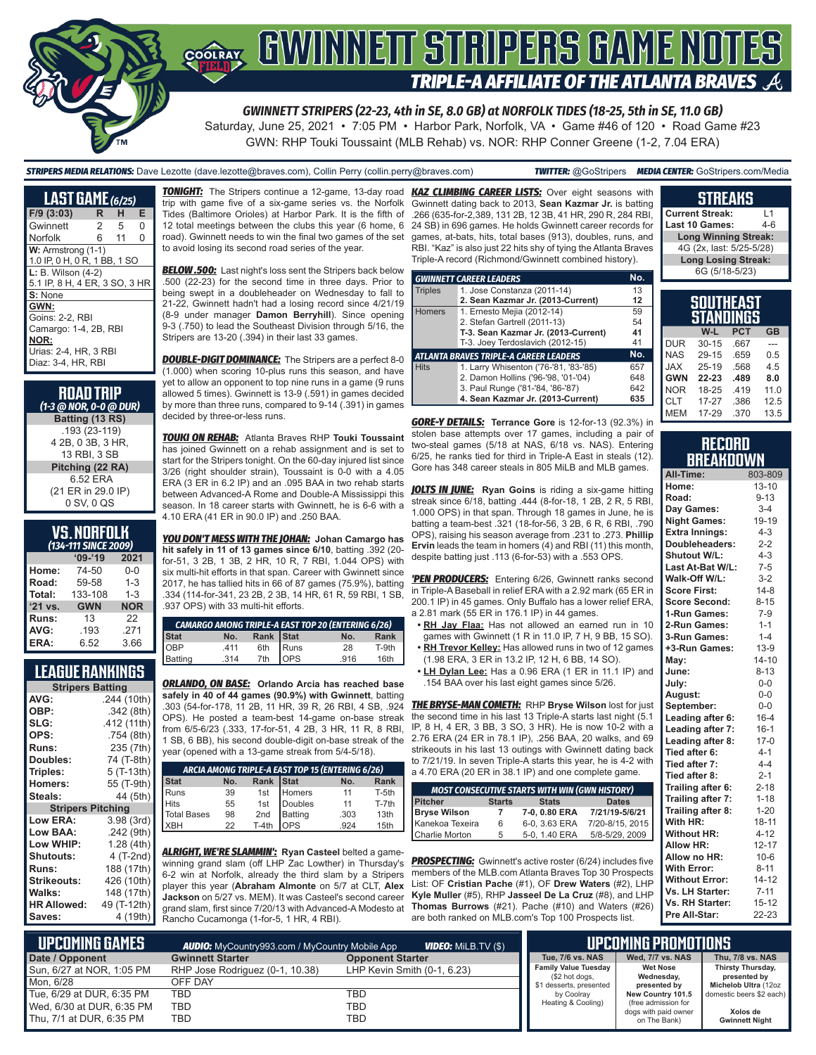

*GWINNETT STRIPERS (22-23, 4th in SE, 8.0 GB) at NORFOLK TIDES (18-25, 5th in SE, 11.0 GB)*

Saturday, June 25, 2021 • 7:05 PM • Harbor Park, Norfolk, VA • Game #46 of 120 • Road Game #23 GWN: RHP Touki Toussaint (MLB Rehab) vs. NOR: RHP Conner Greene (1-2, 7.04 ERA)

*STRIPERS MEDIA RELATIONS:* Dave Lezotte (dave.lezotte@braves.com), Collin Perry (collin.perry@braves.com) *TWITTER:* @GoStripers *MEDIA CENTER:* GoStripers.com/Media

| <b>LAST GAME</b> (6/25)                                                                                 |               |    |          |
|---------------------------------------------------------------------------------------------------------|---------------|----|----------|
| $F/9$ (3:03)                                                                                            | R             | н  | Е        |
| Gwinnett                                                                                                | $\mathcal{P}$ | -5 | $\Omega$ |
| Norfolk                                                                                                 | 6             | 11 | $\Omega$ |
| $W:$ Armstrong $(1-1)$<br>1.0 IP, 0 H, 0 R, 1 BB, 1 SO                                                  |               |    |          |
| L: B. Wilson (4-2)<br>5.1 IP, 8 H, 4 ER, 3 SO, 3 HR                                                     |               |    |          |
| S: None                                                                                                 |               |    |          |
| GWN:<br>Goins: 2-2, RBI<br>Camargo: 1-4, 2B, RBI<br>NOR:<br>Urias: 2-4, HR, 3 RBI<br>Diaz: 3-4, HR, RBI |               |    |          |

| <b>ROAD TRIP</b><br>(1-3 @ NOR, 0-0 @ DUR) |
|--------------------------------------------|
| Batting (13 RS)                            |
| .193 (23-119)                              |
| 4 2B, 0 3B, 3 HR,                          |
| 13 RBI, 3 SB                               |
| Pitching (22 RA)                           |
| 6.52 ERA                                   |
| (21 ER in 29.0 IP)                         |
| 0 SV, 0 QS                                 |

| <b>VS.NORFOLK</b>            |  |  |
|------------------------------|--|--|
| (134-111 SINCE 2 <u>009)</u> |  |  |

| $I$ JINGLE   |            |            |  |  |  |
|--------------|------------|------------|--|--|--|
|              | $09 - 19$  | 2021       |  |  |  |
| Home:        | 74-50      | $0 - 0$    |  |  |  |
| Road:        | 59-58      | $1 - 3$    |  |  |  |
| Total:       | 133-108    | $1 - 3$    |  |  |  |
| '21 vs.      | <b>GWN</b> | <b>NOR</b> |  |  |  |
| <b>Runs:</b> | 13         | 22         |  |  |  |
| AVG:         | .193       | .271       |  |  |  |
| ERA:         | 6.52       | 3.66       |  |  |  |
|              |            |            |  |  |  |

#### **LEAGUE RANKINGS**

| <b>Stripers Batting</b>  |             |  |  |  |
|--------------------------|-------------|--|--|--|
| AVG:                     | .244 (10th) |  |  |  |
| OBP:                     | .342(8th)   |  |  |  |
| SLG:                     | .412 (11th) |  |  |  |
| OPS:                     | .754 (8th)  |  |  |  |
| Runs:                    | 235 (7th)   |  |  |  |
| Doubles:                 | 74 (T-8th)  |  |  |  |
| Triples:                 | 5 (T-13th)  |  |  |  |
| <b>Homers:</b>           | 55 (T-9th)  |  |  |  |
| Steals:                  | 44 (5th)    |  |  |  |
| <b>Stripers Pitching</b> |             |  |  |  |
| <b>Low ERA:</b>          | 3.98(3rd)   |  |  |  |
| Low BAA:                 | .242 (9th)  |  |  |  |
| Low WHIP:                | 1.28(4th)   |  |  |  |
| <b>Shutouts:</b>         | 4 (T-2nd)   |  |  |  |
| <b>Runs:</b>             | 188 (17th)  |  |  |  |
| <b>Strikeouts:</b>       | 426 (10th)  |  |  |  |
| Walks:                   | 148 (17th)  |  |  |  |
| <b>HR Allowed:</b>       | 49 (T-12th) |  |  |  |
| Saves:                   | 4 (19th)    |  |  |  |

trip with game five of a six-game series vs. the Norfolk Tides (Baltimore Orioles) at Harbor Park. It is the fifth of 12 total meetings between the clubs this year (6 home, 6 road). Gwinnett needs to win the final two games of the set to avoid losing its second road series of the year.

*BELOW .500:* Last night's loss sent the Stripers back below .500 (22-23) for the second time in three days. Prior to being swept in a doubleheader on Wednesday to fall to 21-22, Gwinnett hadn't had a losing record since 4/21/19 (8-9 under manager **Damon Berryhill**). Since opening 9-3 (.750) to lead the Southeast Division through 5/16, the Stripers are 13-20 (.394) in their last 33 games.

*DOUBLE-DIGIT DOMINANCE:* The Stripers are a perfect 8-0 (1.000) when scoring 10-plus runs this season, and have yet to allow an opponent to top nine runs in a game (9 runs allowed 5 times). Gwinnett is 13-9 (.591) in games decided by more than three runs, compared to 9-14 (.391) in games decided by three-or-less runs.

*TOUKI ON REHAB:* Atlanta Braves RHP **Touki Toussaint** has joined Gwinnett on a rehab assignment and is set to start for the Stripers tonight. On the 60-day injured list since 3/26 (right shoulder strain), Toussaint is 0-0 with a 4.05 ERA (3 ER in 6.2 IP) and an .095 BAA in two rehab starts ERA (3 ER in 6.2 IP) and an .095 BAA in two rehab starts season. In 18 career starts with Gwinnett, he is 6-6 with a 4.10 ERA (41 ER in 90.0 IP) and .250 BAA.

*YOU DON'T MESS WITH THE JOHAN:* **Johan Camargo has hit safely in 11 of 13 games since 6/10**, batting .392 (20 for-51, 3 2B, 1 3B, 2 HR, 10 R, 7 RBI, 1.044 OPS) with six multi-hit efforts in that span. Career with Gwinnett since 2017, he has tallied hits in 66 of 87 games (75.9%), batting .334 (114-for-341, 23 2B, 2 3B, 14 HR, 61 R, 59 RBI, 1 SB, .937 OPS) with 33 multi-hit efforts.

| CAMARGO AMONG TRIPLE-A EAST TOP 20 (ENTERING 6/26) |      |           |                     |      |       |
|----------------------------------------------------|------|-----------|---------------------|------|-------|
| Stat<br>OBP<br>Batting                             | No.  | Rank Stat |                     | No.  | Rank  |
|                                                    | .411 |           | 6th Runs<br>7th OPS | 28   | T-9th |
|                                                    | .314 |           |                     | .916 | 16th  |

*ORLANDO, ON BASE:* **Orlando Arcia has reached base safely in 40 of 44 games (90.9%) with Gwinnett**, batting .303 (54-for-178, 11 2B, 11 HR, 39 R, 26 RBI, 4 SB, .924 OPS). He posted a team-best 14-game on-base streak from 6/5-6/23 (.333, 17-for-51, 4 2B, 3 HR, 11 R, 8 RBI, 1 SB, 6 BB), his second double-digit on-base streak of the year (opened with a 13-game streak from 5/4-5/18).

| ARCIA AMONG TRIPLE-A EAST TOP 15 (ENTERING 6/26) |     |                 |                |      |       |
|--------------------------------------------------|-----|-----------------|----------------|------|-------|
| <b>Stat</b>                                      | No. | Rank Stat       |                | No.  | Rank  |
| Runs                                             | 39  | 1st             | Homers         | 11   | T-5th |
| <b>Hits</b>                                      | 55  | 1st             | Doubles        | 11   | T-7th |
| Total Bases                                      | 98  | 2 <sub>nd</sub> | <b>Batting</b> | .303 | 13th  |
| <b>XBH</b>                                       | 22  | $T-4th$         | OPS            | 924  | 15th  |

*ALRIGHT, WE'RE SLAMMIN':* **Ryan Casteel** belted a gamewinning grand slam (off LHP Zac Lowther) in Thursday's 6-2 win at Norfolk, already the third slam by a Stripers player this year (**Abraham Almonte** on 5/7 at CLT, **Alex Jackson** on 5/27 vs. MEM). It was Casteel's second career grand slam, first since 7/20/13 with Advanced-A Modesto at Rancho Cucamonga (1-for-5, 1 HR, 4 RBI).

*TONIGHT:* The Stripers continue a 12-game, 13-day road *KAZ CLIMBING CAREER LISTS:* Over eight seasons with Gwinnett dating back to 2013, **Sean Kazmar Jr.** is batting .266 (635-for-2,389, 131 2B, 12 3B, 41 HR, 290 R, 284 RBI, 24 SB) in 696 games. He holds Gwinnett career records for games, at-bats, hits, total bases (913), doubles, runs, and RBI. "Kaz" is also just 22 hits shy of tying the Atlanta Braves Triple-A record (Richmond/Gwinnett combined history).

|                | <b>GWINNETT CAREER LEADERS</b>                | No. |
|----------------|-----------------------------------------------|-----|
| <b>Triples</b> | 1. Jose Constanza (2011-14)                   | 13  |
|                | 2. Sean Kazmar Jr. (2013-Current)             | 12  |
| <b>Homers</b>  | 1. Ernesto Mejia (2012-14)                    | 59  |
|                | 2. Stefan Gartrell (2011-13)                  | 54  |
|                | T-3. Sean Kazmar Jr. (2013-Current)           | 41  |
|                | T-3. Joey Terdoslavich (2012-15)              | 41  |
|                | <b>ATLANTA BRAVES TRIPLE-A CAREER LEADERS</b> | No. |
| <b>Hits</b>    | 1. Larry Whisenton ('76-'81, '83-'85)         | 657 |
|                | 2. Damon Hollins ('96-'98, '01-'04)           | 648 |
|                | 3. Paul Runge ('81-'84, '86-'87)              | 642 |
|                | 4. Sean Kazmar Jr. (2013-Current)             | 635 |

*GORE-Y DETAILS:* **Terrance Gore** is 12-for-13 (92.3%) in stolen base attempts over 17 games, including a pair of two-steal games (5/18 at NAS, 6/18 vs. NAS). Entering 6/25, he ranks tied for third in Triple-A East in steals (12). Gore has 348 career steals in 805 MiLB and MLB games.

between Advanced-A Rome and Double-A Mississippi this *JOLTS IN JUNE:* **Ryan Goins** is riding a six-game hitting streak since 6/18, batting .444 (8-for-18, 1 2B, 2 R, 5 RBI, 1.000 OPS) in that span. Through 18 games in June, he is batting a team-best .321 (18-for-56, 3 2B, 6 R, 6 RBI, .790 OPS), raising his season average from .231 to .273. **Phillip Ervin** leads the team in homers (4) and RBI (11) this month, despite batting just .113 (6-for-53) with a .553 OPS.

> *'PEN PRODUCERS:* Entering 6/26, Gwinnett ranks second in Triple-A Baseball in relief ERA with a 2.92 mark (65 ER in 200.1 IP) in 45 games. Only Buffalo has a lower relief ERA, a 2.81 mark (55 ER in 176.1 IP) in 44 games.

- **• RH Jay Flaa:** Has not allowed an earned run in 10 games with Gwinnett (1 R in 11.0 IP, 7 H, 9 BB, 15 SO).
- **• RH Trevor Kelley:** Has allowed runs in two of 12 games (1.98 ERA, 3 ER in 13.2 IP, 12 H, 6 BB, 14 SO).
- **• LH Dylan Lee:** Has a 0.96 ERA (1 ER in 11.1 IP) and .154 BAA over his last eight games since 5/26.

*THE BRYSE-MAN COMETH:* RHP **Bryse Wilson** lost for just the second time in his last 13 Triple-A starts last night (5.1 IP, 8 H, 4 ER, 3 BB, 3 SO, 3 HR). He is now 10-2 with a 2.76 ERA (24 ER in 78.1 IP), .256 BAA, 20 walks, and 69 strikeouts in his last 13 outings with Gwinnett dating back to 7/21/19. In seven Triple-A starts this year, he is 4-2 with a 4.70 ERA (20 ER in 38.1 IP) and one complete game.

| <b>MOST CONSECUTIVE STARTS WITH WIN (GWN HISTORY)</b> |               |               |                 |  |
|-------------------------------------------------------|---------------|---------------|-----------------|--|
| Pitcher                                               | <b>Starts</b> | <b>Stats</b>  | <b>Dates</b>    |  |
| <b>Bryse Wilson</b>                                   |               | 7-0, 0.80 ERA | 7/21/19-5/6/21  |  |
| Kanekoa Texeira                                       | 6             | 6-0, 3.63 ERA | 7/20-8/15, 2015 |  |
| Charlie Morton                                        | 5             | 5-0, 1.40 ERA | 5/8-5/29, 2009  |  |

**PROSPECTING:** Gwinnett's active roster (6/24) includes five members of the MLB.com Atlanta Braves Top 30 Prospects List: OF **Cristian Pache** (#1), OF **Drew Waters** (#2), LHP **Kyle Muller** (#5), RHP **Jasseel De La Cruz** (#8), and LHP **Thomas Burrows** (#21). Pache (#10) and Waters (#26) are both ranked on MLB.com's Top 100 Prospects list.

|                                      | <b>Current Streak:</b>      |            | $\overline{1}$ |  |
|--------------------------------------|-----------------------------|------------|----------------|--|
|                                      | Last 10 Games:              |            | $4 - 6$        |  |
|                                      | <b>Long Winning Streak:</b> |            |                |  |
|                                      | 4G (2x, last: 5/25-5/28)    |            |                |  |
|                                      | <b>Long Losing Streak:</b>  |            |                |  |
|                                      | 6G (5/18-5/23)              |            |                |  |
|                                      |                             |            |                |  |
| <b>SOUTHEAST</b><br><b>STANDINGS</b> |                             |            |                |  |
|                                      |                             |            |                |  |
|                                      | W-L                         | <b>PCT</b> | GВ             |  |

**STREAKS**

|            | $W-L$     | <b>PCT</b> | <b>GB</b> |  |  |  |
|------------|-----------|------------|-----------|--|--|--|
| <b>DUR</b> | $30 - 15$ | .667       |           |  |  |  |
| <b>NAS</b> | 29-15     | .659       | 0.5       |  |  |  |
| <b>JAX</b> | 25-19     | .568       | 4.5       |  |  |  |
| <b>GWN</b> | 22-23     | .489       | 8.0       |  |  |  |
| <b>NOR</b> | 18-25     | .419       | 11.0      |  |  |  |
| <b>CLT</b> | 17-27     | .386       | 12.5      |  |  |  |
| <b>MEM</b> | 17-29     | .370       | 13.5      |  |  |  |
|            |           |            |           |  |  |  |

#### **RECORD BREAKDOWN**

| All-Time:             | 803-809   |
|-----------------------|-----------|
| Home:                 | $13 - 10$ |
| Road:                 | $9 - 13$  |
| Day Games:            | $3 - 4$   |
| <b>Night Games:</b>   | 19-19     |
| <b>Extra Innings:</b> | $4 - 3$   |
| Doubleheaders:        | $2 - 2$   |
| Shutout W/L:          | $4 - 3$   |
| Last At-Bat W/L:      | $7 - 5$   |
| Walk-Off W/L:         | $3 - 2$   |
| <b>Score First:</b>   | $14-8$    |
| <b>Score Second:</b>  | $8 - 15$  |
| 1-Run Games:          | $7-9$     |
| 2-Run Games:          | $1 - 1$   |
| 3-Run Games:          | $1 - 4$   |
| +3-Run Games:         | $13-9$    |
| May:                  | $14 - 10$ |
| June:                 | $8 - 13$  |
| July:                 | $0-0$     |
| August:               | $0-0$     |
| September:            | $0-0$     |
| Leading after 6:      | $16 - 4$  |
| Leading after 7:      | $16 - 1$  |
| Leading after 8:      | $17-0$    |
| Tied after 6:         | $4 - 1$   |
| Tied after 7:         | $4 - 4$   |
| Tied after 8:         | $2 - 1$   |
| Trailing after 6:     | $2 - 18$  |
| Trailing after 7:     | $1 - 18$  |
| Trailing after 8:     | $1 - 20$  |
| With HR:              | $18 - 11$ |
| <b>Without HR:</b>    | $4 - 12$  |
| <b>Allow HR:</b>      | $12 - 17$ |
| Allow no HR:          | $10 - 6$  |
| <b>With Error:</b>    | $8 - 11$  |
| <b>Without Error:</b> | $14 - 12$ |
| Vs. LH Starter:       | $7 - 11$  |
| Vs. RH Starter:       | $15 - 12$ |
| Pre All-Star:         | 22-23     |

| L UPCOMIÑG GAMES I        | <b>AUDIO:</b> MyCountry993.com / MyCountry Mobile App | <b>VIDEO:</b> MiLB.TV (\$)  |                                               | <b>TUPCOMING PROMOTIONS</b>          |                                   |
|---------------------------|-------------------------------------------------------|-----------------------------|-----------------------------------------------|--------------------------------------|-----------------------------------|
| Date / Opponent           | <b>Gwinnett Starter</b>                               | <b>Opponent Starter</b>     | Tue, 7/6 vs. NAS                              | Wed. 7/7 vs. NAS                     | Thu, 7/8 vs. NAS                  |
| Sun, 6/27 at NOR, 1:05 PM | RHP Jose Rodriguez (0-1, 10.38)                       | LHP Kevin Smith (0-1, 6.23) | <b>Family Value Tuesday</b><br>(\$2 hot dogs, | <b>Wet Nose</b><br>Wednesday,        | Thirsty Thursday,<br>presented by |
| Mon. 6/28                 | OFF DAY                                               |                             | \$1 desserts, presented                       | presented by                         | Michelob Ultra (12oz              |
| Tue, 6/29 at DUR, 6:35 PM | TBD                                                   | TBD                         | by Coolray                                    | New Country 101.5                    | domestic beers \$2 each)          |
| Wed, 6/30 at DUR, 6:35 PM | TBD                                                   | TBD                         | Heating & Cooling)                            | (free admission for                  |                                   |
| Thu, 7/1 at DUR, 6:35 PM  | TBD                                                   | TBD                         |                                               | dogs with paid owner<br>on The Bank) | Xolos de<br><b>Gwinnett Night</b> |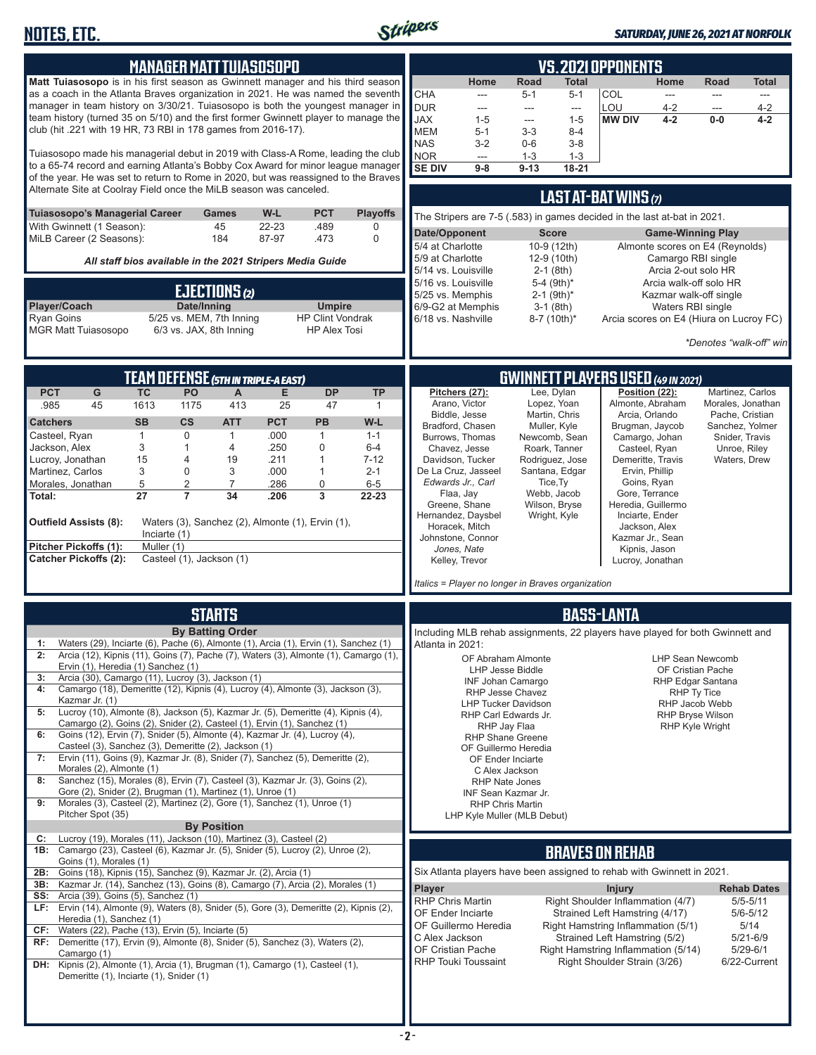

#### *SATURDAY, JUNE 26, 2021 AT NORFOLK*

|                                                                                                                                                                                          |                            | <b>MANAGER MATT TUIASOSOPO</b>                            |                    |                                          |                      |                                                                                                                                       |                                                                               |                                        |                                     | <b>VS. 2021 OPPONENTS</b>                                            |                                           |                                                  |                          |
|------------------------------------------------------------------------------------------------------------------------------------------------------------------------------------------|----------------------------|-----------------------------------------------------------|--------------------|------------------------------------------|----------------------|---------------------------------------------------------------------------------------------------------------------------------------|-------------------------------------------------------------------------------|----------------------------------------|-------------------------------------|----------------------------------------------------------------------|-------------------------------------------|--------------------------------------------------|--------------------------|
| Matt Tuiasosopo is in his first season as Gwinnett manager and his third season<br>as a coach in the Atlanta Braves organization in 2021. He was named the seventh                       |                            |                                                           |                    |                                          |                      | <b>CHA</b>                                                                                                                            | Home<br>---                                                                   | <b>Road</b><br>$5 - 1$                 | Total<br>$5 - 1$                    | COL                                                                  | Home<br>$\overline{\phantom{a}}$          | Road<br>---                                      | <b>Total</b><br>$---$    |
| manager in team history on 3/30/21. Tuiasosopo is both the youngest manager in<br>team history (turned 35 on 5/10) and the first former Gwinnett player to manage the                    |                            |                                                           |                    |                                          |                      | <b>DUR</b><br><b>JAX</b>                                                                                                              | ---<br>$1 - 5$                                                                | ---<br>---                             | $\hspace{0.05cm} \ldots$<br>$1 - 5$ | LOU<br><b>MW DIV</b>                                                 | 4-2<br>$4 - 2$                            | ---<br>$0-0$                                     | $4 - 2$<br>$4 - 2$       |
| club (hit .221 with 19 HR, 73 RBI in 178 games from 2016-17).                                                                                                                            |                            |                                                           |                    |                                          |                      | <b>MEM</b><br><b>NAS</b>                                                                                                              | $5 - 1$<br>$3 - 2$                                                            | $3 - 3$<br>$0-6$                       | $8 - 4$<br>$3 - 8$                  |                                                                      |                                           |                                                  |                          |
| Tuiasosopo made his managerial debut in 2019 with Class-A Rome, leading the club<br>to a 65-74 record and earning Atlanta's Bobby Cox Award for minor league manager                     |                            |                                                           |                    |                                          |                      | NOR                                                                                                                                   | $\overline{\phantom{a}}$                                                      | $1 - 3$                                | $1 - 3$                             |                                                                      |                                           |                                                  |                          |
| of the year. He was set to return to Rome in 2020, but was reassigned to the Braves                                                                                                      |                            |                                                           |                    |                                          |                      | <b>SE DIV</b>                                                                                                                         | $9-8$                                                                         | $9-13$                                 | $18 - 21$                           |                                                                      |                                           |                                                  |                          |
| Alternate Site at Coolray Field once the MiLB season was canceled.                                                                                                                       |                            |                                                           |                    |                                          |                      |                                                                                                                                       |                                                                               |                                        |                                     | <b>LAST AT-BAT WINS (7)</b>                                          |                                           |                                                  |                          |
| Tuiasosopo's Managerial Career<br>With Gwinnett (1 Season):                                                                                                                              |                            | Games<br>45                                               | W-L<br>22-23       | <b>PCT</b><br>.489                       | <b>Playoffs</b><br>0 | The Stripers are 7-5 (.583) in games decided in the last at-bat in 2021.<br>Date/Opponent<br><b>Score</b><br><b>Game-Winning Play</b> |                                                                               |                                        |                                     |                                                                      |                                           |                                                  |                          |
| MiLB Career (2 Seasons):                                                                                                                                                                 |                            | 184                                                       | 87-97              | .473                                     | 0                    | 5/4 at Charlotte                                                                                                                      |                                                                               | 10-9 (12th)                            |                                     |                                                                      |                                           | Almonte scores on E4 (Reynolds)                  |                          |
|                                                                                                                                                                                          |                            | All staff bios available in the 2021 Stripers Media Guide |                    |                                          |                      | 5/9 at Charlotte                                                                                                                      | 5/14 vs. Louisville                                                           | 12-9 (10th)<br>$2-1$ (8th)             |                                     |                                                                      | Camargo RBI single<br>Arcia 2-out solo HR |                                                  |                          |
|                                                                                                                                                                                          |                            | EJECTIONS (2)                                             |                    |                                          |                      |                                                                                                                                       | 5/16 vs. Louisville<br>5/25 vs. Memphis                                       | 5-4 (9th)*<br>$2-1$ (9th) <sup>*</sup> |                                     |                                                                      |                                           | Arcia walk-off solo HR<br>Kazmar walk-off single |                          |
| Player/Coach<br><b>Ryan Goins</b>                                                                                                                                                        |                            | Date/Inning<br>5/25 vs. MEM, 7th Inning                   |                    | <b>Umpire</b><br><b>HP Clint Vondrak</b> |                      |                                                                                                                                       | 6/9-G2 at Memphis<br>6/18 vs. Nashville                                       | $3-1$ (8th)<br>8-7 (10th)*             |                                     |                                                                      | Waters RBI single                         | Arcia scores on E4 (Hiura on Lucroy FC)          |                          |
| <b>MGR Matt Tuiasosopo</b>                                                                                                                                                               |                            | 6/3 vs. JAX, 8th Inning                                   |                    | <b>HP Alex Tosi</b>                      |                      |                                                                                                                                       |                                                                               |                                        |                                     |                                                                      |                                           | *Denotes "walk-off" win                          |                          |
|                                                                                                                                                                                          |                            |                                                           |                    |                                          |                      |                                                                                                                                       |                                                                               |                                        |                                     |                                                                      |                                           |                                                  |                          |
| <b>PCT</b><br>G                                                                                                                                                                          | <b>TC</b>                  | TEAM DEFENSE (5TH IN TRIPLE-A EAST)<br>PO<br>A            | Е                  | <b>DP</b>                                | <b>TP</b>            |                                                                                                                                       | Pitchers (27):                                                                | Lee, Dylan                             |                                     | <b>GWINNETT PLAYERS USED (49 IN 2021)</b><br>Position (22):          |                                           | Martinez, Carlos                                 |                          |
| .985<br>45                                                                                                                                                                               | 1613                       | 413<br>1175                                               | 25                 | 47                                       | 1                    |                                                                                                                                       | Arano, Victor<br>Biddle, Jesse                                                | Lopez, Yoan<br>Martin, Chris           |                                     | Almonte, Abraham<br>Arcia, Orlando                                   |                                           | Morales, Jonathan<br>Pache, Cristian             |                          |
| <b>Catchers</b><br>Casteel, Ryan                                                                                                                                                         | <b>SB</b><br>$\mathbf{1}$  | $\mathsf{cs}$<br><b>ATT</b><br>0<br>$\mathbf{1}$          | <b>PCT</b><br>.000 | PB<br>$\mathbf{1}$                       | W-L<br>$1 - 1$       |                                                                                                                                       | Bradford, Chasen<br>Burrows, Thomas                                           | Muller, Kyle<br>Newcomb, Sean          |                                     | Brugman, Jaycob<br>Camargo, Johan                                    |                                           | Sanchez, Yolmer<br>Snider, Travis                |                          |
| Jackson, Alex<br>Lucroy, Jonathan                                                                                                                                                        | 3<br>15                    | 4<br>1<br>19<br>4                                         | .250<br>.211       | $\mathbf 0$<br>$\overline{1}$            | $6-4$<br>$7 - 12$    |                                                                                                                                       | Chavez, Jesse<br>Davidson, Tucker                                             | Roark, Tanner<br>Rodriguez, Jose       |                                     | Demeritte, Travis                                                    | Casteel, Ryan                             | Unroe, Riley<br>Waters, Drew                     |                          |
| Martinez, Carlos                                                                                                                                                                         | 3                          | 3<br>0                                                    | .000               | $\mathbf{1}$                             | $2 - 1$              |                                                                                                                                       | De La Cruz, Jasseel                                                           | Santana, Edgar                         |                                     | Ervin, Phillip                                                       |                                           |                                                  |                          |
| Morales, Jonathan<br>Total:                                                                                                                                                              | 5<br>27                    | $\overline{2}$<br>7<br>$\overline{7}$<br>34               | .286<br>.206       | $\mathbf 0$<br>3                         | $6-5$<br>22-23       |                                                                                                                                       | Edwards Jr., Carl<br>Flaa, Jay                                                | Tice, Ty<br>Webb, Jacob                |                                     | Goins, Ryan<br>Gore, Terrance                                        |                                           |                                                  |                          |
| <b>Outfield Assists (8):</b>                                                                                                                                                             |                            | Waters (3), Sanchez (2), Almonte (1), Ervin (1),          |                    |                                          |                      |                                                                                                                                       | Greene, Shane<br>Hernandez, Daysbel                                           | Wilson, Bryse<br>Wright, Kyle          |                                     | Heredia, Guillermo<br>Inciarte, Ender                                |                                           |                                                  |                          |
| Pitcher Pickoffs (1):                                                                                                                                                                    | Inciarte (1)<br>Muller (1) |                                                           |                    |                                          |                      |                                                                                                                                       | Horacek, Mitch<br>Johnstone, Connor                                           |                                        |                                     | Jackson, Alex<br>Kazmar Jr., Sean                                    |                                           |                                                  |                          |
| <b>Catcher Pickoffs (2):</b>                                                                                                                                                             |                            | Casteel (1), Jackson (1)                                  |                    |                                          |                      |                                                                                                                                       | Jones, Nate<br>Kelley, Trevor                                                 |                                        |                                     | Kipnis, Jason<br>Lucroy, Jonathan                                    |                                           |                                                  |                          |
|                                                                                                                                                                                          |                            |                                                           |                    |                                          |                      |                                                                                                                                       | Italics = Player no longer in Braves organization                             |                                        |                                     |                                                                      |                                           |                                                  |                          |
|                                                                                                                                                                                          |                            | <b>STARTS</b>                                             |                    |                                          |                      |                                                                                                                                       |                                                                               |                                        |                                     | <b>BASS-LANTA</b>                                                    |                                           |                                                  |                          |
|                                                                                                                                                                                          |                            | <b>By Batting Order</b>                                   |                    |                                          |                      |                                                                                                                                       | Including MLB rehab assignments, 22 players have played for both Gwinnett and |                                        |                                     |                                                                      |                                           |                                                  |                          |
| Waters (29), Inciarte (6), Pache (6), Almonte (1), Arcia (1), Ervin (1), Sanchez (1)<br>1:<br>Arcia (12), Kipnis (11), Goins (7), Pache (7), Waters (3), Almonte (1), Camargo (1),<br>2: |                            |                                                           |                    |                                          |                      | Atlanta in 2021:                                                                                                                      | OF Abraham Almonte                                                            |                                        |                                     |                                                                      |                                           | <b>LHP Sean Newcomb</b>                          |                          |
| Ervin (1), Heredia (1) Sanchez (1)<br>Arcia (30), Camargo (11), Lucroy (3), Jackson (1)<br>3:                                                                                            |                            |                                                           |                    |                                          |                      |                                                                                                                                       | <b>LHP Jesse Biddle</b><br><b>INF Johan Camargo</b>                           |                                        |                                     |                                                                      |                                           | OF Cristian Pache<br>RHP Edgar Santana           |                          |
| Camargo (18), Demeritte (12), Kipnis (4), Lucroy (4), Almonte (3), Jackson (3),<br>4:<br>Kazmar Jr. (1)                                                                                  |                            |                                                           |                    |                                          |                      |                                                                                                                                       | RHP Jesse Chavez<br><b>LHP Tucker Davidson</b>                                |                                        |                                     |                                                                      |                                           | RHP Ty Tice<br>RHP Jacob Webb                    |                          |
| Lucroy (10), Almonte (8), Jackson (5), Kazmar Jr. (5), Demeritte (4), Kipnis (4),<br>5:<br>Camargo (2), Goins (2), Snider (2), Casteel (1), Ervin (1), Sanchez (1)                       |                            |                                                           |                    |                                          |                      |                                                                                                                                       | RHP Carl Edwards Jr.<br>RHP Jay Flaa                                          |                                        |                                     |                                                                      |                                           | <b>RHP Bryse Wilson</b><br>RHP Kyle Wright       |                          |
| Goins (12), Ervin (7), Snider (5), Almonte (4), Kazmar Jr. (4), Lucroy (4),<br>6:<br>Casteel (3), Sanchez (3), Demeritte (2), Jackson (1)                                                |                            |                                                           |                    |                                          |                      |                                                                                                                                       | <b>RHP Shane Greene</b><br>OF Guillermo Heredia                               |                                        |                                     |                                                                      |                                           |                                                  |                          |
| Ervin (11), Goins (9), Kazmar Jr. (8), Snider (7), Sanchez (5), Demeritte (2),<br>7:<br>Morales (2), Almonte (1)                                                                         |                            |                                                           |                    |                                          |                      |                                                                                                                                       | OF Ender Inciarte<br>C Alex Jackson                                           |                                        |                                     |                                                                      |                                           |                                                  |                          |
| Sanchez (15), Morales (8), Ervin (7), Casteel (3), Kazmar Jr. (3), Goins (2),<br>8:<br>Gore (2), Snider (2), Brugman (1), Martinez (1), Unroe (1)                                        |                            |                                                           |                    |                                          |                      |                                                                                                                                       | <b>RHP Nate Jones</b><br><b>INF Sean Kazmar Jr.</b>                           |                                        |                                     |                                                                      |                                           |                                                  |                          |
| Morales (3), Casteel (2), Martinez (2), Gore (1), Sanchez (1), Unroe (1)<br>9:<br>Pitcher Spot (35)                                                                                      |                            |                                                           |                    |                                          |                      |                                                                                                                                       | <b>RHP Chris Martin</b><br>LHP Kyle Muller (MLB Debut)                        |                                        |                                     |                                                                      |                                           |                                                  |                          |
| Lucroy (19), Morales (11), Jackson (10), Martinez (3), Casteel (2)<br>C:                                                                                                                 |                            | <b>By Position</b>                                        |                    |                                          |                      |                                                                                                                                       |                                                                               |                                        |                                     |                                                                      |                                           |                                                  |                          |
| 1B: Camargo (23), Casteel (6), Kazmar Jr. (5), Snider (5), Lucroy (2), Unroe (2),<br>Goins (1), Morales (1)                                                                              |                            |                                                           |                    |                                          |                      |                                                                                                                                       |                                                                               |                                        |                                     | <b>BRAVES ON REHAB</b>                                               |                                           |                                                  |                          |
| Goins (18), Kipnis (15), Sanchez (9), Kazmar Jr. (2), Arcia (1)<br>2B:<br>3B:<br>Kazmar Jr. (14), Sanchez (13), Goins (8), Camargo (7), Arcia (2), Morales (1)                           |                            |                                                           |                    |                                          |                      | <b>Player</b>                                                                                                                         | Six Atlanta players have been assigned to rehab with Gwinnett in 2021.        |                                        |                                     | <b>Injury</b>                                                        |                                           |                                                  | <b>Rehab Dates</b>       |
| Arcia (39), Goins (5), Sanchez (1)<br>SS:<br>LF: Ervin (14), Almonte (9), Waters (8), Snider (5), Gore (3), Demeritte (2), Kipnis (2),                                                   |                            |                                                           |                    |                                          |                      | <b>RHP Chris Martin</b>                                                                                                               |                                                                               |                                        |                                     | Right Shoulder Inflammation (4/7)                                    |                                           |                                                  | $5/5 - 5/11$             |
| Heredia (1), Sanchez (1)<br>Waters (22), Pache (13), Ervin (5), Inciarte (5)<br>CF:                                                                                                      |                            |                                                           |                    |                                          |                      |                                                                                                                                       | OF Ender Inciarte<br>OF Guillermo Heredia                                     |                                        |                                     | Strained Left Hamstring (4/17)<br>Right Hamstring Inflammation (5/1) |                                           |                                                  | $5/6 - 5/12$<br>5/14     |
| RF: Demeritte (17), Ervin (9), Almonte (8), Snider (5), Sanchez (3), Waters (2),                                                                                                         |                            |                                                           |                    |                                          |                      | C Alex Jackson                                                                                                                        | OF Cristian Pache                                                             |                                        |                                     | Strained Left Hamstring (5/2)<br>Right Hamstring Inflammation (5/14) |                                           |                                                  | 5/21-6/9<br>$5/29 - 6/1$ |
| Camargo (1)<br>DH: Kipnis (2), Almonte (1), Arcia (1), Brugman (1), Camargo (1), Casteel (1),                                                                                            |                            |                                                           |                    |                                          |                      |                                                                                                                                       | <b>RHP Touki Toussaint</b>                                                    |                                        |                                     | Right Shoulder Strain (3/26)                                         |                                           |                                                  | 6/22-Current             |
| Demeritte (1), Inciarte (1), Snider (1)                                                                                                                                                  |                            |                                                           |                    |                                          |                      |                                                                                                                                       |                                                                               |                                        |                                     |                                                                      |                                           |                                                  |                          |
|                                                                                                                                                                                          |                            |                                                           |                    |                                          |                      |                                                                                                                                       |                                                                               |                                        |                                     |                                                                      |                                           |                                                  |                          |
|                                                                                                                                                                                          |                            |                                                           |                    |                                          |                      |                                                                                                                                       |                                                                               |                                        |                                     |                                                                      |                                           |                                                  |                          |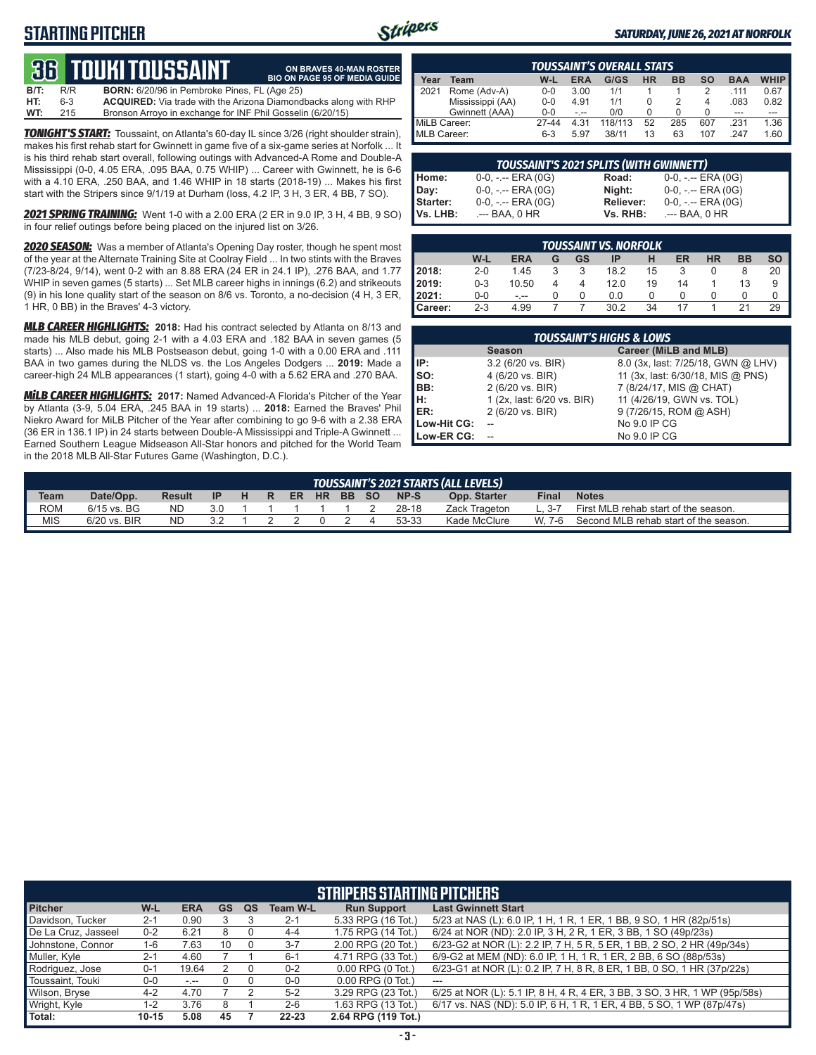## **STARTING PITCHER**



**ON BRAVES 40-MAN ROSTER BIO ON PAGE 95 OF MEDIA GUIDE**

#### *SATURDAY, JUNE 26, 2021 AT NORFOLK*

# **36****touki toussaint**

| B/T: | R/R     | <b>BORN:</b> 6/20/96 in Pembroke Pines, FL (Age 25)                     |
|------|---------|-------------------------------------------------------------------------|
| HT:  | $6 - 3$ | <b>ACQUIRED:</b> Via trade with the Arizona Diamondbacks along with RHP |
| WT:  | 215     | Bronson Arroyo in exchange for INF Phil Gosselin (6/20/15)              |

*TONIGHT'S START:* Toussaint, on Atlanta's 60-day IL since 3/26 (right shoulder strain), makes his first rehab start for Gwinnett in game five of a six-game series at Norfolk ... It is his third rehab start overall, following outings with Advanced-A Rome and Double-A Mississippi (0-0, 4.05 ERA, .095 BAA, 0.75 WHIP) ... Career with Gwinnett, he is 6-6 with a 4.10 ERA, .250 BAA, and 1.46 WHIP in 18 starts (2018-19) ... Makes his first start with the Stripers since 9/1/19 at Durham (loss, 4.2 IP, 3 H, 3 ER, 4 BB, 7 SO).

*2021 SPRING TRAINING:* Went 1-0 with a 2.00 ERA (2 ER in 9.0 IP, 3 H, 4 BB, 9 SO) in four relief outings before being placed on the injured list on 3/26.

*2020 SEASON:* Was a member of Atlanta's Opening Day roster, though he spent most of the year at the Alternate Training Site at Coolray Field ... In two stints with the Braves (7/23-8/24, 9/14), went 0-2 with an 8.88 ERA (24 ER in 24.1 IP), .276 BAA, and 1.77 WHIP in seven games (5 starts) ... Set MLB career highs in innings (6.2) and strikeouts (9) in his lone quality start of the season on 8/6 vs. Toronto, a no-decision (4 H, 3 ER, 1 HR, 0 BB) in the Braves' 4-3 victory.

*MLB CAREER HIGHLIGHTS:* **2018:** Had his contract selected by Atlanta on 8/13 and made his MLB debut, going 2-1 with a 4.03 ERA and .182 BAA in seven games (5 starts) ... Also made his MLB Postseason debut, going 1-0 with a 0.00 ERA and .111 BAA in two games during the NLDS vs. the Los Angeles Dodgers ... **2019:** Made a career-high 24 MLB appearances (1 start), going 4-0 with a 5.62 ERA and .270 BAA.

*MiLB CAREER HIGHLIGHTS:* **2017:** Named Advanced-A Florida's Pitcher of the Year by Atlanta (3-9, 5.04 ERA, .245 BAA in 19 starts) ... **2018:** Earned the Braves' Phil Niekro Award for MiLB Pitcher of the Year after combining to go 9-6 with a 2.38 ERA (36 ER in 136.1 IP) in 24 starts between Double-A Mississippi and Triple-A Gwinnett ... Earned Southern League Midseason All-Star honors and pitched for the World Team in the 2018 MLB All-Star Futures Game (Washington, D.C.).

|              |                  |         |            | <b>TOUSSAINT'S OVERALL STATS</b> |    |           |                          |            |             |
|--------------|------------------|---------|------------|----------------------------------|----|-----------|--------------------------|------------|-------------|
| Year         | Team             | W-L     | <b>ERA</b> | G/GS                             | HR | <b>BB</b> | <b>SO</b>                | <b>BAA</b> | <b>WHIP</b> |
| 2021         | Rome (Adv-A)     | $0 - 0$ | 3.00       | 1/1                              |    |           | 2                        | 111        | 0.67        |
|              | Mississippi (AA) | $0 - 0$ | 4.91       | 1/1                              |    |           | $\overline{\mathcal{A}}$ | .083       | 0.82        |
|              | Gwinnett (AAA)   | $0 - 0$ | - --       | 0/0                              |    |           |                          | ---        |             |
| MiLB Career: |                  | 27-44   | 4.31       | 118/113                          | 52 | 285       | 607                      | 231        | 1.36        |
| MLB Career:  |                  | $6-3$   | 5.97       | 38/11                            | 13 | 63        | 107                      | 247        | 1.60        |

|          | <b>TOUSSAINT'S 2021 SPLITS (WITH GWINNETT)</b> |           |                       |
|----------|------------------------------------------------|-----------|-----------------------|
| Home:    | $0-0, - -$ ERA $(0G)$                          | Road:     | $0-0, - -$ ERA $(0G)$ |
| Day:     | $0-0, - -$ ERA $(0G)$                          | Night:    | $0-0, - -$ ERA (0G)   |
| Starter: | $0-0, - -$ ERA $(0G)$                          | Reliever: | $0-0, - -$ ERA (0G)   |
| Vs. LHB: | .--- BAA. 0 HR                                 | Vs. RHB:  | .--- BAA. 0 HR        |

|                  | <b>TOUSSAINT VS. NORFOLK</b> |            |   |    |      |    |    |           |           |    |  |  |  |  |
|------------------|------------------------------|------------|---|----|------|----|----|-----------|-----------|----|--|--|--|--|
|                  | W-L                          | <b>ERA</b> | G | GS | IP   | н  | ER | <b>HR</b> | <b>BB</b> | SO |  |  |  |  |
| 2018:            | $2 - 0$                      | 1.45       |   |    | 18.2 | 15 |    |           |           | 20 |  |  |  |  |
| 2019:            | $0 - 3$                      | 10.50      |   |    | 12.0 | 19 | 14 |           | 13        | 9  |  |  |  |  |
| 12021:           | 0-0                          | - --       |   |    | 0.0  |    |    |           |           |    |  |  |  |  |
| <b>I</b> Career: | $2 - 3$                      | 4.99       |   |    | 30.2 | 34 |    |           |           | 29 |  |  |  |  |

|             | <b>TOUSSAINT'S HIGHS &amp; LOWS</b> |                                    |
|-------------|-------------------------------------|------------------------------------|
|             | <b>Season</b>                       | Career (MiLB and MLB)              |
| IP:         | 3.2 (6/20 vs. BIR)                  | 8.0 (3x, last: 7/25/18, GWN @ LHV) |
| SO:         | 4 (6/20 vs. BIR)                    | 11 (3x, last: 6/30/18, MIS @ PNS)  |
| BB:         | 2 (6/20 vs. BIR)                    | 7 (8/24/17, MIS @ CHAT)            |
| н:          | 1 (2x, last: 6/20 vs. BIR)          | 11 (4/26/19, GWN vs. TOL)          |
| ER:         | 2 (6/20 vs. BIR)                    | 9 (7/26/15, ROM @ ASH)             |
| Low-Hit CG: |                                     | No 9.0 IP CG                       |
| Low-ER CG:  |                                     | No 9.0 IP CG                       |

|            |                |               |     |   |    |    |           |       |       | TOUSSAINT'S 2021 STARTS (ALL LEVELS) |              |                                       |
|------------|----------------|---------------|-----|---|----|----|-----------|-------|-------|--------------------------------------|--------------|---------------------------------------|
| Team       | Date/Opp.      | <b>Result</b> | -IP | H | R. | ER | <b>HR</b> | BB SO | NP-S  | Opp. Starter                         | <b>Final</b> | <b>Notes</b>                          |
| <b>ROM</b> | $6/15$ vs. BG  | <b>ND</b>     | 3.0 |   |    |    |           |       | 28-18 | Zack Trageton                        | $L. 3-7$     | First MLB rehab start of the season.  |
| <b>MIS</b> | $6/20$ vs. BIR | <b>ND</b>     |     |   |    |    |           |       | 53-33 | Kade McClure                         | W 7-6        | Second MLB rehab start of the season. |

#### **STRIPERS STARTING PITCHERS**

| <b>Pitcher</b>      | $W-L$     | <b>ERA</b> | <b>GS</b> | QS | <b>Team W-L</b> | <b>Run Support</b>     | <b>Last Gwinnett Start</b>                                                |
|---------------------|-----------|------------|-----------|----|-----------------|------------------------|---------------------------------------------------------------------------|
| Davidson, Tucker    | $2 - 1$   | 0.90       |           |    | $2 - 1$         | 5.33 RPG (16 Tot.)     | 5/23 at NAS (L): 6.0 IP, 1 H, 1 R, 1 ER, 1 BB, 9 SO, 1 HR (82p/51s)       |
| De La Cruz, Jasseel | $0 - 2$   | 6.21       | 8         |    | $4 - 4$         | 1.75 RPG (14 Tot.)     | 6/24 at NOR (ND): 2.0 IP, 3 H, 2 R, 1 ER, 3 BB, 1 SO (49p/23s)            |
| Johnstone, Connor   | 1-6       | 7.63       | 10        |    | $3 - 7$         | 2.00 RPG (20 Tot.)     | 6/23-G2 at NOR (L): 2.2 IP, 7 H, 5 R, 5 ER, 1 BB, 2 SO, 2 HR (49p/34s)    |
| Muller, Kyle        | $2 - 1$   | 4.60       |           |    | $6 - 1$         | 4.71 RPG (33 Tot.)     | 6/9-G2 at MEM (ND): 6.0 IP, 1 H, 1 R, 1 ER, 2 BB, 6 SO (88p/53s)          |
| Rodriquez, Jose     | $0 - 1$   | 19.64      | 2         |    | $0 - 2$         | $0.00$ RPG $(0)$ Tot.) | 6/23-G1 at NOR (L): 0.2 IP, 7 H, 8 R, 8 ER, 1 BB, 0 SO, 1 HR (37p/22s)    |
| Toussaint, Touki    | $0-0$     | سيرت       |           |    | $0-0$           | $0.00$ RPG $(0$ Tot.)  | $---$                                                                     |
| Wilson, Bryse       | $4 - 2$   | 4.70       |           |    | $5 - 2$         | 3.29 RPG (23 Tot.)     | 6/25 at NOR (L): 5.1 IP, 8 H, 4 R, 4 ER, 3 BB, 3 SO, 3 HR, 1 WP (95p/58s) |
| Wright, Kyle        | 1-2       | 3.76       |           |    | $2 - 6$         | 1.63 RPG (13 Tot.)     | 6/17 vs. NAS (ND): 5.0 IP, 6 H, 1 R, 1 ER, 4 BB, 5 SO, 1 WP (87p/47s)     |
| l Total:            | $10 - 15$ | 5.08       | 45        |    | $22 - 23$       | 2.64 RPG (119 Tot.)    |                                                                           |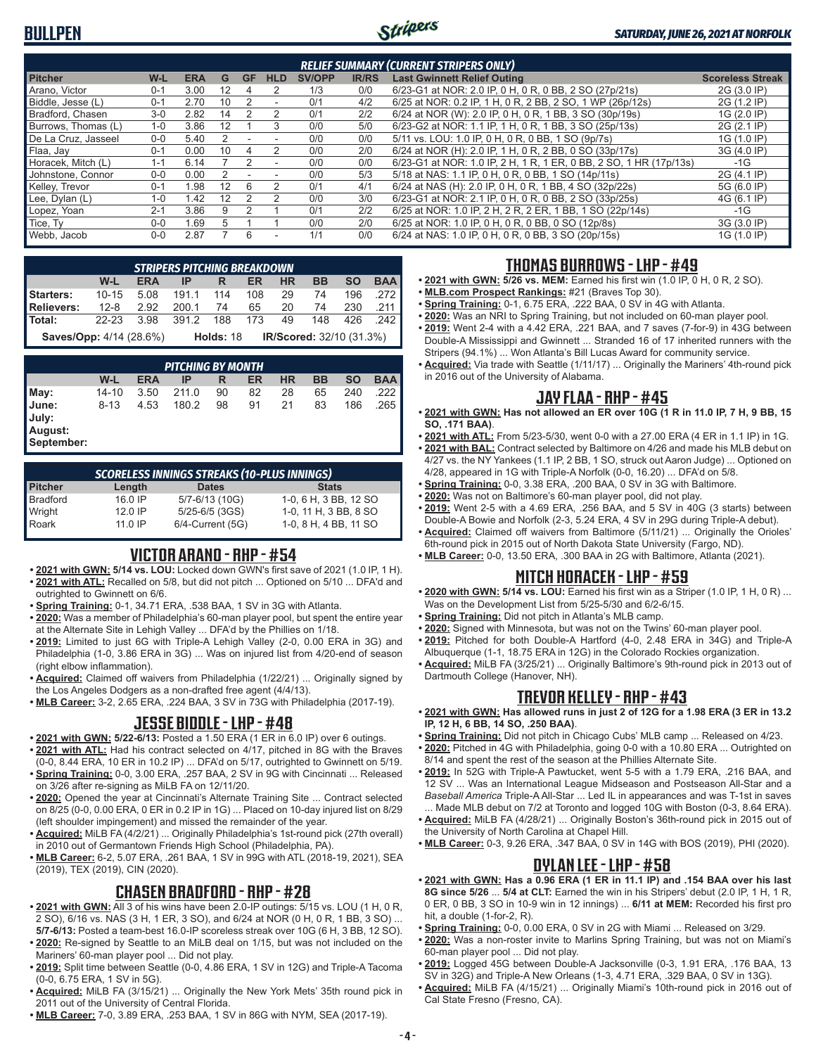## **BULLPEN**



|                     |         |            |    |           |                          |               |              | <b>RELIEF SUMMARY (CURRENT STRIPERS ONLY)</b>                      |                         |
|---------------------|---------|------------|----|-----------|--------------------------|---------------|--------------|--------------------------------------------------------------------|-------------------------|
| <b>Pitcher</b>      | W-L     | <b>ERA</b> | G  | <b>GF</b> | <b>HLD</b>               | <b>SV/OPP</b> | <b>IR/RS</b> | <b>Last Gwinnett Relief Outing</b>                                 | <b>Scoreless Streak</b> |
| Arano. Victor       | $0 - 1$ | 3.00       | 12 | 4         | 2                        | 1/3           | 0/0          | 6/23-G1 at NOR: 2.0 IP, 0 H, 0 R, 0 BB, 2 SO (27p/21s)             | 2G (3.0 IP)             |
| Biddle, Jesse (L)   | $0 - 1$ | 2.70       | 10 |           |                          | 0/1           | 4/2          | 6/25 at NOR: 0.2 IP, 1 H, 0 R, 2 BB, 2 SO, 1 WP (26p/12s)          | 2G (1.2 IP)             |
| Bradford, Chasen    | $3-0$   | 2.82       | 14 |           | 2                        | 0/1           | 2/2          | 6/24 at NOR (W): 2.0 IP, 0 H, 0 R, 1 BB, 3 SO (30p/19s)            | 1G (2.0 IP)             |
| Burrows, Thomas (L) | $1 - 0$ | 3.86       | 12 |           | 3                        | 0/0           | 5/0          | 6/23-G2 at NOR: 1.1 IP, 1 H, 0 R, 1 BB, 3 SO (25p/13s)             | 2G (2.1 IP)             |
| De La Cruz, Jasseel | $0 - 0$ | 5.40       |    |           |                          | 0/0           | 0/0          | 5/11 vs. LOU: 1.0 IP, 0 H, 0 R, 0 BB, 1 SO (9p/7s)                 | 1G (1.0 IP)             |
| Flaa, Jav           | $0 - 1$ | 0.00       | 10 |           |                          | 0/0           | 2/0          | 6/24 at NOR (H): 2.0 IP, 1 H, 0 R, 2 BB, 0 SO (33p/17s)            | 3G (4.0 IP)             |
| Horacek, Mitch (L)  | $1 - 1$ | 6.14       |    |           | $\overline{\phantom{a}}$ | 0/0           | 0/0          | 6/23-G1 at NOR: 1.0 IP, 2 H, 1 R, 1 ER, 0 BB, 2 SO, 1 HR (17p/13s) | $-1G$                   |
| Johnstone, Connor   | $0 - 0$ | 0.00       |    |           |                          | 0/0           | 5/3          | 5/18 at NAS: 1.1 IP, 0 H, 0 R, 0 BB, 1 SO (14p/11s)                | 2G (4.1 IP)             |
| Kelley, Trevor      | $0 - 1$ | .98        | 12 | 6         | 2                        | 0/1           | 4/1          | 6/24 at NAS (H): 2.0 IP, 0 H, 0 R, 1 BB, 4 SO (32p/22s)            | 5G (6.0 IP)             |
| Lee, Dylan (L)      | $1 - 0$ | 1.42       | 12 |           | 2                        | 0/0           | 3/0          | 6/23-G1 at NOR: 2.1 IP, 0 H, 0 R, 0 BB, 2 SO (33p/25s)             | 4G (6.1 IP)             |
| 'Lopez, Yoan        | $2 - 1$ | 3.86       | 9  |           |                          | 0/1           | 2/2          | 6/25 at NOR: 1.0 IP, 2 H, 2 R, 2 ER, 1 BB, 1 SO (22p/14s)          | -1G                     |
| Tice, Ty            | $0 - 0$ | .69        | 5  |           |                          | 0/0           | 2/0          | 6/25 at NOR: 1.0 IP, 0 H, 0 R, 0 BB, 0 SO (12p/8s)                 | 3G (3.0 IP)             |
| Webb, Jacob         | $0-0$   | 2.87       |    | 6         | $\overline{\phantom{a}}$ | 1/1           | 0/0          | 6/24 at NAS: 1.0 IP, 0 H, 0 R, 0 BB, 3 SO (20p/15s)                | 1G (1.0 IP)             |

|                                |           |            | <b>STRIPERS PITCHING BREAKDOWN</b> |                                         |     |           |           |           |            |  |
|--------------------------------|-----------|------------|------------------------------------|-----------------------------------------|-----|-----------|-----------|-----------|------------|--|
|                                | W-L       | <b>ERA</b> | IP                                 | R                                       | ER  | <b>HR</b> | <b>BB</b> | <b>SO</b> | <b>BAA</b> |  |
| <b>Starters:</b>               | $10 - 15$ | 5.08       | 191.1                              | 114                                     | 108 | 29        | 74        | 196       | .272       |  |
| <b>Relievers:</b>              | 12-8      | 2.92       | 200.1                              | 74                                      | 65  | 20        | -74       | 230       | .211       |  |
| Total:                         | $22 - 23$ | 3.98       | 391.2                              | 188                                     | 173 | 49        | 148       | 426       | .242       |  |
| <b>Saves/Opp:</b> 4/14 (28.6%) |           |            |                                    | IR/Scored: 32/10 (31.3%)<br>Holds: $18$ |     |           |           |           |            |  |

|                                                | <b>PITCHING BY MONTH</b> |            |       |    |    |           |    |           |            |  |  |  |  |
|------------------------------------------------|--------------------------|------------|-------|----|----|-----------|----|-----------|------------|--|--|--|--|
|                                                | W-L                      | <b>ERA</b> | IP    | R  | ER | <b>HR</b> | BB | <b>SO</b> | <b>BAA</b> |  |  |  |  |
| May:                                           | 14-10                    | 3.50       | 211.0 | 90 | 82 | 28        | 65 | 240       | 222        |  |  |  |  |
| <b>June:</b><br>July:<br>August:<br>September: | $8 - 13$                 | 4.53       | 180.2 | 98 | 91 | 21        | 83 | 186       | .265       |  |  |  |  |

| <b>SCORELESS INNINGS STREAKS (10-PLUS INNINGS)</b> |           |                  |                       |  |
|----------------------------------------------------|-----------|------------------|-----------------------|--|
| Pitcher                                            | Length    | <b>Dates</b>     | <b>Stats</b>          |  |
| Bradford                                           | 16.0 IP   | 5/7-6/13 (10G)   | 1-0, 6 H, 3 BB, 12 SO |  |
|                                                    | $12.0$ IP | 5/25-6/5 (3GS)   | 1-0, 11 H, 3 BB, 8 SO |  |
| Wright<br>Roark                                    | $11.0$ IP | 6/4-Current (5G) | 1-0, 8 H, 4 BB, 11 SO |  |

### **VICTOR ARANO - RHP - #54**

- **• 2021 with GWN: 5/14 vs. LOU:** Locked down GWN's first save of 2021 (1.0 IP, 1 H). **• 2021 with ATL:** Recalled on 5/8, but did not pitch ... Optioned on 5/10 ... DFA'd and
- outrighted to Gwinnett on 6/6. **• Spring Training:** 0-1, 34.71 ERA, .538 BAA, 1 SV in 3G with Atlanta.
- **• 2020:** Was a member of Philadelphia's 60-man player pool, but spent the entire year at the Alternate Site in Lehigh Valley ... DFA'd by the Phillies on 1/18.
- **• 2019:** Limited to just 6G with Triple-A Lehigh Valley (2-0, 0.00 ERA in 3G) and Philadelphia (1-0, 3.86 ERA in 3G) ... Was on injured list from 4/20-end of season (right elbow inflammation).
- **• Acquired:** Claimed off waivers from Philadelphia (1/22/21) ... Originally signed by the Los Angeles Dodgers as a non-drafted free agent (4/4/13).
- **• MLB Career:** 3-2, 2.65 ERA, .224 BAA, 3 SV in 73G with Philadelphia (2017-19).

#### **JESSE BIDDLE - LHP - #48**

- **• 2021 with GWN: 5/22-6/13:** Posted a 1.50 ERA (1 ER in 6.0 IP) over 6 outings.
- **• 2021 with ATL:** Had his contract selected on 4/17, pitched in 8G with the Braves (0-0, 8.44 ERA, 10 ER in 10.2 IP) ... DFA'd on 5/17, outrighted to Gwinnett on 5/19.
- **• Spring Training:** 0-0, 3.00 ERA, .257 BAA, 2 SV in 9G with Cincinnati ... Released on 3/26 after re-signing as MiLB FA on 12/11/20.
- **• 2020:** Opened the year at Cincinnati's Alternate Training Site ... Contract selected on 8/25 (0-0, 0.00 ERA, 0 ER in 0.2 IP in 1G) ... Placed on 10-day injured list on 8/29 (left shoulder impingement) and missed the remainder of the year.
- **• Acquired:** MiLB FA (4/2/21) ... Originally Philadelphia's 1st-round pick (27th overall) in 2010 out of Germantown Friends High School (Philadelphia, PA).
- **• MLB Career:** 6-2, 5.07 ERA, .261 BAA, 1 SV in 99G with ATL (2018-19, 2021), SEA (2019), TEX (2019), CIN (2020).

### **CHASEN BRADFORD - RHP - #28**

- **• 2021 with GWN:** All 3 of his wins have been 2.0-IP outings: 5/15 vs. LOU (1 H, 0 R, 2 SO), 6/16 vs. NAS (3 H, 1 ER, 3 SO), and 6/24 at NOR (0 H, 0 R, 1 BB, 3 SO) ... **5/7-6/13:** Posted a team-best 16.0-IP scoreless streak over 10G (6 H, 3 BB, 12 SO).
- **• 2020:** Re-signed by Seattle to an MiLB deal on 1/15, but was not included on the Mariners' 60-man player pool ... Did not play.
- **• 2019:** Split time between Seattle (0-0, 4.86 ERA, 1 SV in 12G) and Triple-A Tacoma (0-0, 6.75 ERA, 1 SV in 5G).
- **• Acquired:** MiLB FA (3/15/21) ... Originally the New York Mets' 35th round pick in 2011 out of the University of Central Florida.
- **• MLB Career:** 7-0, 3.89 ERA, .253 BAA, 1 SV in 86G with NYM, SEA (2017-19).

### **THOMAS BURROWS - LHP - #49**

- **• 2021 with GWN: 5/26 vs. MEM:** Earned his first win (1.0 IP, 0 H, 0 R, 2 SO).
- **• MLB.com Prospect Rankings:** #21 (Braves Top 30).
- **• Spring Training:** 0-1, 6.75 ERA, .222 BAA, 0 SV in 4G with Atlanta.
- **• 2020:** Was an NRI to Spring Training, but not included on 60-man player pool. **• 2019:** Went 2-4 with a 4.42 ERA, .221 BAA, and 7 saves (7-for-9) in 43G between Double-A Mississippi and Gwinnett ... Stranded 16 of 17 inherited runners with the Stripers (94.1%) ... Won Atlanta's Bill Lucas Award for community service.
- **• Acquired:** Via trade with Seattle (1/11/17) ... Originally the Mariners' 4th-round pick in 2016 out of the University of Alabama.

### **JAY FLAA - RHP - #45**

- **• 2021 with GWN: Has not allowed an ER over 10G (1 R in 11.0 IP, 7 H, 9 BB, 15 SO, .171 BAA)**.
- **• 2021 with ATL:** From 5/23-5/30, went 0-0 with a 27.00 ERA (4 ER in 1.1 IP) in 1G.
- **• 2021 with BAL:** Contract selected by Baltimore on 4/26 and made his MLB debut on 4/27 vs. the NY Yankees (1.1 IP, 2 BB, 1 SO, struck out Aaron Judge) ... Optioned on 4/28, appeared in 1G with Triple-A Norfolk (0-0, 16.20) ... DFA'd on 5/8.
- **• Spring Training:** 0-0, 3.38 ERA, .200 BAA, 0 SV in 3G with Baltimore.
- **• 2020:** Was not on Baltimore's 60-man player pool, did not play.
- **• 2019:** Went 2-5 with a 4.69 ERA, .256 BAA, and 5 SV in 40G (3 starts) between Double-A Bowie and Norfolk (2-3, 5.24 ERA, 4 SV in 29G during Triple-A debut).
- **• Acquired:** Claimed off waivers from Baltimore (5/11/21) ... Originally the Orioles' 6th-round pick in 2015 out of North Dakota State University (Fargo, ND).
- **• MLB Career:** 0-0, 13.50 ERA, .300 BAA in 2G with Baltimore, Atlanta (2021).

## **MITCH HORACEK - LHP - #59**

- **• 2020 with GWN: 5/14 vs. LOU:** Earned his first win as a Striper (1.0 IP, 1 H, 0 R) ... Was on the Development List from 5/25-5/30 and 6/2-6/15.
- **• Spring Training:** Did not pitch in Atlanta's MLB camp.
- **• 2020:** Signed with Minnesota, but was not on the Twins' 60-man player pool.
- **• 2019:** Pitched for both Double-A Hartford (4-0, 2.48 ERA in 34G) and Triple-A Albuquerque (1-1, 18.75 ERA in 12G) in the Colorado Rockies organization.
- **• Acquired:** MiLB FA (3/25/21) ... Originally Baltimore's 9th-round pick in 2013 out of Dartmouth College (Hanover, NH).

## **TREVOR KELLEY - RHP - #43**

- **• 2021 with GWN: Has allowed runs in just 2 of 12G for a 1.98 ERA (3 ER in 13.2 IP, 12 H, 6 BB, 14 SO, .250 BAA)**.
- **• Spring Training:** Did not pitch in Chicago Cubs' MLB camp ... Released on 4/23.
- **• 2020:** Pitched in 4G with Philadelphia, going 0-0 with a 10.80 ERA ... Outrighted on 8/14 and spent the rest of the season at the Phillies Alternate Site.
- **• 2019:** In 52G with Triple-A Pawtucket, went 5-5 with a 1.79 ERA, .216 BAA, and 12 SV ... Was an International League Midseason and Postseason All-Star and a *Baseball America* Triple-A All-Star ... Led IL in appearances and was T-1st in saves ... Made MLB debut on 7/2 at Toronto and logged 10G with Boston (0-3, 8.64 ERA).
- **• Acquired:** MiLB FA (4/28/21) ... Originally Boston's 36th-round pick in 2015 out of the University of North Carolina at Chapel Hill.
- **• MLB Career:** 0-3, 9.26 ERA, .347 BAA, 0 SV in 14G with BOS (2019), PHI (2020).

### **DYLAN LEE - LHP - #58**

- **• 2021 with GWN: Has a 0.96 ERA (1 ER in 11.1 IP) and .154 BAA over his last 8G since 5/26** ... **5/4 at CLT:** Earned the win in his Stripers' debut (2.0 IP, 1 H, 1 R, 0 ER, 0 BB, 3 SO in 10-9 win in 12 innings) ... **6/11 at MEM:** Recorded his first pro hit, a double (1-for-2, R).
- **• Spring Training:** 0-0, 0.00 ERA, 0 SV in 2G with Miami ... Released on 3/29.
- **• 2020:** Was a non-roster invite to Marlins Spring Training, but was not on Miami's 60-man player pool ... Did not play.
- **• 2019:** Logged 45G between Double-A Jacksonville (0-3, 1.91 ERA, .176 BAA, 13 SV in 32G) and Triple-A New Orleans (1-3, 4.71 ERA, .329 BAA, 0 SV in 13G).
- **• Acquired:** MiLB FA (4/15/21) ... Originally Miami's 10th-round pick in 2016 out of Cal State Fresno (Fresno, CA).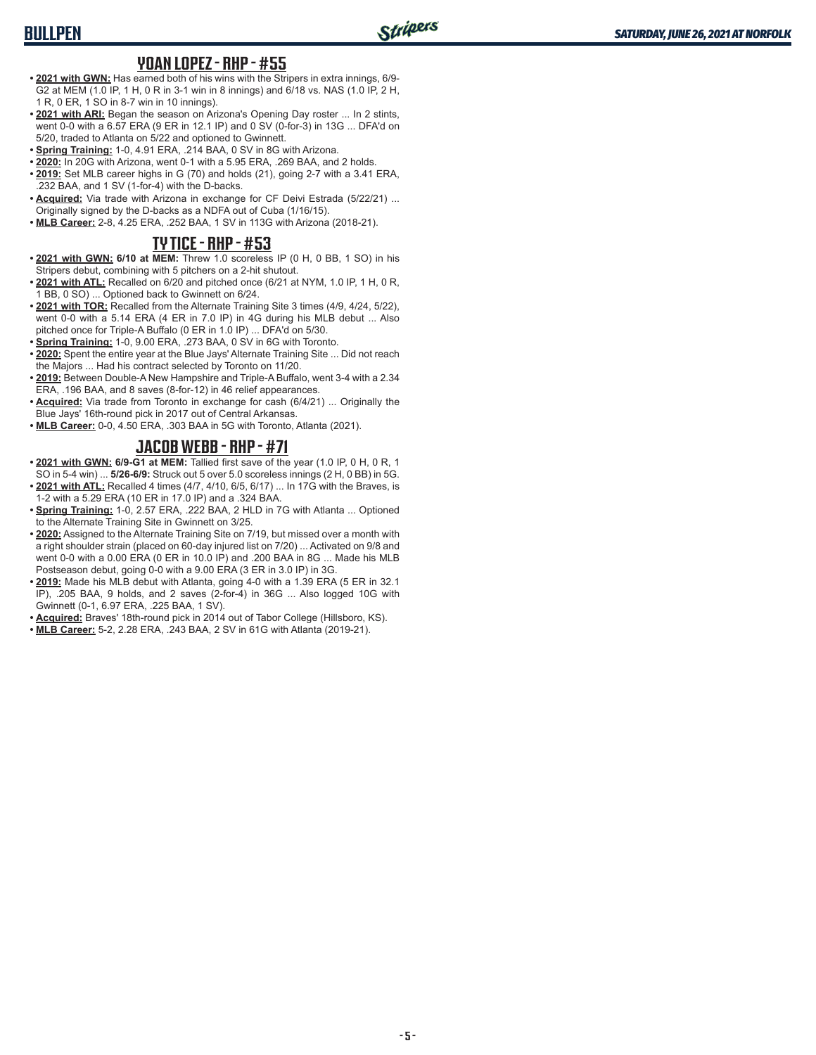## **BULLPEN**

#### **YOAN LOPEZ - RHP - #55**

- **• 2021 with GWN:** Has earned both of his wins with the Stripers in extra innings, 6/9- G2 at MEM (1.0 IP, 1 H, 0 R in 3-1 win in 8 innings) and 6/18 vs. NAS (1.0 IP, 2 H, 1 R, 0 ER, 1 SO in 8-7 win in 10 innings).
- **• 2021 with ARI:** Began the season on Arizona's Opening Day roster ... In 2 stints, went 0-0 with a 6.57 ERA (9 ER in 12.1 IP) and 0 SV (0-for-3) in 13G ... DFA'd on 5/20, traded to Atlanta on 5/22 and optioned to Gwinnett.
- **• Spring Training:** 1-0, 4.91 ERA, .214 BAA, 0 SV in 8G with Arizona.
- **• 2020:** In 20G with Arizona, went 0-1 with a 5.95 ERA, .269 BAA, and 2 holds. **• 2019:** Set MLB career highs in G (70) and holds (21), going 2-7 with a 3.41 ERA,
- .232 BAA, and 1 SV (1-for-4) with the D-backs. **• Acquired:** Via trade with Arizona in exchange for CF Deivi Estrada (5/22/21) ... Originally signed by the D-backs as a NDFA out of Cuba (1/16/15).
- **• MLB Career:** 2-8, 4.25 ERA, .252 BAA, 1 SV in 113G with Arizona (2018-21).

### **TY TICE - RHP - #53**

- **• 2021 with GWN: 6/10 at MEM:** Threw 1.0 scoreless IP (0 H, 0 BB, 1 SO) in his Stripers debut, combining with 5 pitchers on a 2-hit shutout.
- **• 2021 with ATL:** Recalled on 6/20 and pitched once (6/21 at NYM, 1.0 IP, 1 H, 0 R, 1 BB, 0 SO) ... Optioned back to Gwinnett on 6/24.
- **• 2021 with TOR:** Recalled from the Alternate Training Site 3 times (4/9, 4/24, 5/22), went 0-0 with a 5.14 ERA (4 ER in 7.0 IP) in 4G during his MLB debut ... Also pitched once for Triple-A Buffalo (0 ER in 1.0 IP) ... DFA'd on 5/30.
- **• Spring Training:** 1-0, 9.00 ERA, .273 BAA, 0 SV in 6G with Toronto.
- **• 2020:** Spent the entire year at the Blue Jays' Alternate Training Site ... Did not reach the Majors ... Had his contract selected by Toronto on 11/20.
- **• 2019:** Between Double-A New Hampshire and Triple-A Buffalo, went 3-4 with a 2.34 ERA, .196 BAA, and 8 saves (8-for-12) in 46 relief appearances.
- **• Acquired:** Via trade from Toronto in exchange for cash (6/4/21) ... Originally the Blue Jays' 16th-round pick in 2017 out of Central Arkansas.
- **• MLB Career:** 0-0, 4.50 ERA, .303 BAA in 5G with Toronto, Atlanta (2021).

### **JACOB WEBB - RHP - #71**

- **• 2021 with GWN: 6/9-G1 at MEM:** Tallied first save of the year (1.0 IP, 0 H, 0 R, 1 SO in 5-4 win) ... **5/26-6/9:** Struck out 5 over 5.0 scoreless innings (2 H, 0 BB) in 5G.
- **• 2021 with ATL:** Recalled 4 times (4/7, 4/10, 6/5, 6/17) ... In 17G with the Braves, is 1-2 with a 5.29 ERA (10 ER in 17.0 IP) and a .324 BAA.
- **• Spring Training:** 1-0, 2.57 ERA, .222 BAA, 2 HLD in 7G with Atlanta ... Optioned to the Alternate Training Site in Gwinnett on 3/25.
- **• 2020:** Assigned to the Alternate Training Site on 7/19, but missed over a month with a right shoulder strain (placed on 60-day injured list on 7/20) ... Activated on 9/8 and went 0-0 with a 0.00 ERA (0 ER in 10.0 IP) and .200 BAA in 8G ... Made his MLB Postseason debut, going 0-0 with a 9.00 ERA (3 ER in 3.0 IP) in 3G.
- **• 2019:** Made his MLB debut with Atlanta, going 4-0 with a 1.39 ERA (5 ER in 32.1 IP), .205 BAA, 9 holds, and 2 saves (2-for-4) in 36G ... Also logged 10G with Gwinnett (0-1, 6.97 ERA, .225 BAA, 1 SV).
- **• Acquired:** Braves' 18th-round pick in 2014 out of Tabor College (Hillsboro, KS).
- **• MLB Career:** 5-2, 2.28 ERA, .243 BAA, 2 SV in 61G with Atlanta (2019-21).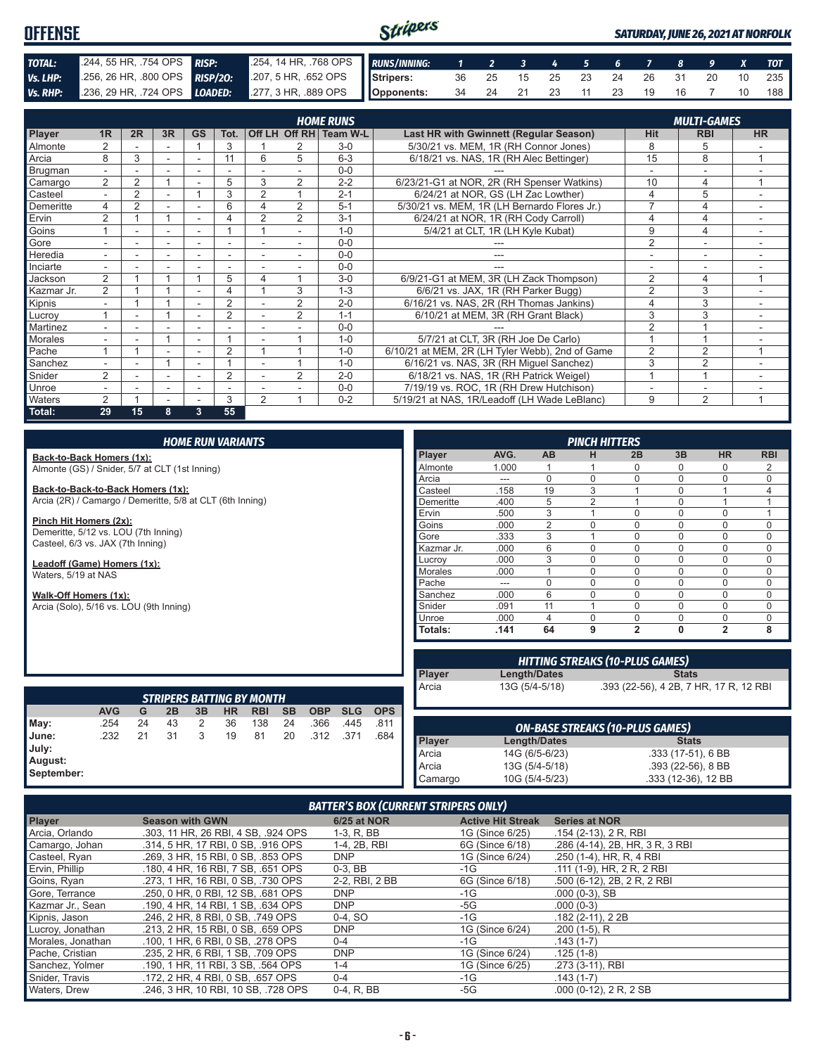#### Stripers **OFFENSE** *SATURDAY, JUNE 26, 2021 AT NORFOLK TOTAL:* .244, 55 HR, .754 OPS *RISP:* .254, 14 HR, .768 OPS *RUNS/INNING: 1 2 3 4 5 6 7 8 9 X TOT Vs. LHP:* .256, 26 HR, .800 OPS *RISP/2O:* .207, 5 HR, .652 OPS **Stripers:** 36 25 15 25 23 24 26 31 20 10 235 *Vs. RHP:* .236, 29 HR, .724 OPS *LOADED:* .277, 3 HR, .889 OPS **Opponents:** 34 24 21 23 11 23 19 16 7 10 188

|               |                |                |    |                          |                |   |                | <b>HOME RUNS</b>       |                                                 |                | <b>MULTI-GAMES</b> |                          |
|---------------|----------------|----------------|----|--------------------------|----------------|---|----------------|------------------------|-------------------------------------------------|----------------|--------------------|--------------------------|
| Player        | 1 <sub>R</sub> | 2R             | 3R | <b>GS</b>                | Tot.           |   |                | Off LH Off RH Team W-L | Last HR with Gwinnett (Regular Season)          | <b>Hit</b>     | <b>RBI</b>         | <b>HR</b>                |
| Almonte       |                |                |    |                          | 3              |   | 2              | $3-0$                  | 5/30/21 vs. MEM, 1R (RH Connor Jones)           | 8              | 5                  |                          |
| Arcia         | 8              | 3              | ۰  | $\overline{\phantom{a}}$ | 11             | 6 | 5              | $6 - 3$                | 6/18/21 vs. NAS, 1R (RH Alec Bettinger)         | 15             | 8                  | $\overline{ }$           |
| Brugman       |                |                |    |                          |                |   |                | $0 - 0$                |                                                 |                |                    |                          |
| Camargo       | 2              | $\overline{2}$ |    |                          | 5              | 3 | 2              | $2 - 2$                | 6/23/21-G1 at NOR, 2R (RH Spenser Watkins)      | 10             | 4                  |                          |
| Casteel       | $\blacksquare$ | $\overline{2}$ |    |                          | 3              |   |                | $2 - 1$                | 6/24/21 at NOR, GS (LH Zac Lowther)             | 4              | 5                  |                          |
| Demeritte     | 4              | 2              |    |                          | 6              | 4 | $\overline{2}$ | $5-1$                  | 5/30/21 vs. MEM, 1R (LH Bernardo Flores Jr.)    |                | 4                  | ۰                        |
| Ervin         | $\overline{2}$ |                |    | $\overline{\phantom{a}}$ |                |   | 2              | $3 - 1$                | 6/24/21 at NOR, 1R (RH Cody Carroll)            | 4              | 4                  | ۰                        |
| Goins         |                |                |    | $\overline{\phantom{a}}$ |                |   |                | $1 - 0$                | 5/4/21 at CLT, 1R (LH Kyle Kubat)               | 9              | 4                  |                          |
| Gore          |                |                |    |                          |                |   |                | $0 - 0$                |                                                 | $\overline{2}$ |                    |                          |
| Heredia       |                |                |    |                          |                |   |                | $0 - 0$                |                                                 |                |                    |                          |
| Inciarte      |                |                |    |                          |                |   |                | $0 - 0$                |                                                 |                |                    |                          |
| Jackson       | 2              |                |    |                          | 5              |   |                | $3-0$                  | 6/9/21-G1 at MEM, 3R (LH Zack Thompson)         | 2              | 4                  | и                        |
| Kazmar Jr.    | $\overline{2}$ |                |    |                          | 4              |   | 3              | $1 - 3$                | 6/6/21 vs. JAX, 1R (RH Parker Bugg)             | $\overline{2}$ | 3                  |                          |
| Kipnis        |                |                |    |                          | $\overline{2}$ |   | $\overline{2}$ | $2 - 0$                | 6/16/21 vs. NAS, 2R (RH Thomas Jankins)         | 4              | 3                  | $\sim$                   |
| Lucroy        |                | ۰              |    | $\overline{\phantom{a}}$ | $\overline{2}$ |   | $\overline{2}$ | $1 - 1$                | 6/10/21 at MEM, 3R (RH Grant Black)             | 3              | 3                  | $\overline{\phantom{a}}$ |
| Martinez      |                |                |    | ۰                        |                |   |                | $0 - 0$                |                                                 | 2              |                    |                          |
| Morales       |                |                |    | $\overline{\phantom{a}}$ |                |   |                | $1 - 0$                | 5/7/21 at CLT, 3R (RH Joe De Carlo)             |                |                    |                          |
| Pache         |                |                |    |                          | $\overline{2}$ |   |                | $1 - 0$                | 6/10/21 at MEM, 2R (LH Tyler Webb), 2nd of Game | $\overline{2}$ | 2                  |                          |
| Sanchez       |                |                |    |                          |                |   |                | $1 - 0$                | 6/16/21 vs. NAS, 3R (RH Miguel Sanchez)         | 3              | 2                  |                          |
| Snider        | 2              |                | ٠  |                          | 2              |   | 2              | $2 - 0$                | 6/18/21 vs. NAS, 1R (RH Patrick Weigel)         |                | $\overline{A}$     |                          |
| <b>Unroe</b>  |                |                | ۰  | ۰                        | ٠              |   |                | $0 - 0$                | 7/19/19 vs. ROC, 1R (RH Drew Hutchison)         |                | ۰                  |                          |
| <b>Waters</b> | $\overline{2}$ |                |    |                          | 3              | 2 |                | $0 - 2$                | 5/19/21 at NAS, 1R/Leadoff (LH Wade LeBlanc)    | 9              | 2                  | и                        |
| Total:        | 29             | 15             | 8  | 3                        | 55             |   |                |                        |                                                 |                |                    |                          |

#### *HOME RUN VARIANTS*

**Back-to-Back Homers (1x):** Almonte (GS) / Snider, 5/7 at CLT (1st Inning)

**Back-to-Back-to-Back Homers (1x):** Arcia (2R) / Camargo / Demeritte, 5/8 at CLT (6th Inning)

**Pinch Hit Homers (2x):**

Demeritte, 5/12 vs. LOU (7th Inning) Casteel, 6/3 vs. JAX (7th Inning)

**Leadoff (Game) Homers (1x):** Waters, 5/19 at NAS

**Walk-Off Homers (1x):**

Arcia (Solo), 5/16 vs. LOU (9th Inning)

| <b>PINCH HITTERS</b> |       |                |                |                |          |                |            |
|----------------------|-------|----------------|----------------|----------------|----------|----------------|------------|
| <b>Player</b>        | AVG.  | AB             | н              | 2B             | 3B       | <b>HR</b>      | <b>RBI</b> |
| Almonte              | 1.000 |                |                | 0              | O        | 0              | 2          |
| Arcia                | ---   | O              | $\Omega$       | $\Omega$       | $\Omega$ | $\mathbf 0$    | $\Omega$   |
| Casteel              | .158  | 19             | 3              | 1              | $\Omega$ | 1              | 4          |
| Demeritte            | .400  | 5              | $\overline{2}$ | 1              | U        | 1              |            |
| Ervin                | .500  | 3              |                | 0              | $\Omega$ | $\mathbf 0$    |            |
| Goins                | .000  | $\overline{2}$ | $\Omega$       | $\Omega$       | $\Omega$ | $\mathbf 0$    | O          |
| Gore                 | .333  | 3              | 1              | $\Omega$       | $\Omega$ | $\Omega$       | 0          |
| Kazmar Jr.           | .000  | 6              | $\Omega$       | $\Omega$       | $\Omega$ | $\mathbf 0$    | 0          |
| Lucrov               | .000  | 3              | $\Omega$       | $\Omega$       | $\Omega$ | $\mathbf 0$    | $\Omega$   |
| <b>Morales</b>       | .000  |                | $\Omega$       | $\Omega$       | $\Omega$ | $\Omega$       | $\Omega$   |
| Pache                | ---   | 0              | 0              | 0              | $\Omega$ | 0              | 0          |
| Sanchez              | .000  | 6              | $\Omega$       | $\Omega$       | $\Omega$ | $\mathbf 0$    | U          |
| Snider               | .091  | 11             |                | $\Omega$       | $\Omega$ | $\mathbf 0$    | $\Omega$   |
| Unroe                | .000  | $\overline{4}$ | $\Omega$       | $\Omega$       | $\Omega$ | $\Omega$       | $\Omega$   |
| Totals:              | .141  | 64             | 9              | $\overline{2}$ | 0        | $\overline{2}$ | 8          |

| <b>STRIPERS BATTING BY MONTH</b>               |            |    |    |    |           |            |           |            |            |            |
|------------------------------------------------|------------|----|----|----|-----------|------------|-----------|------------|------------|------------|
|                                                | <b>AVG</b> | G  | 2B | 3B | <b>HR</b> | <b>RBI</b> | <b>SB</b> | <b>OBP</b> | <b>SLG</b> | <b>OPS</b> |
| $\blacksquare$ May:                            | .254       | 24 | 43 | 2  | 36        | 138        | 24        | .366       | .445       | .811       |
| <b>June:</b><br>July:<br>August:<br>September: | .232       | 21 | 31 | 3  | 19        | 81         | 20        | .312       | .371       | .684       |

|                        |                | <b>HITTING STREAKS (10-PLUS GAMES)</b> |
|------------------------|----------------|----------------------------------------|
|                        | Length/Dates   | <b>Stats</b>                           |
| <b>Player</b><br>Arcia | 13G (5/4-5/18) | .393 (22-56), 4 2B, 7 HR, 17 R, 12 RBI |
|                        |                |                                        |

| ON-BASE STREAKS (10-PLUS GAMES) |                     |                     |  |  |
|---------------------------------|---------------------|---------------------|--|--|
| <b>Player</b>                   | <b>Length/Dates</b> | <b>Stats</b>        |  |  |
| Arcia                           | 14G (6/5-6/23)      | .333 (17-51), 6 BB  |  |  |
| Arcia                           | 13G (5/4-5/18)      | $.393(22-56), 8BB$  |  |  |
| Camargo                         | 10G (5/4-5/23)      | .333 (12-36), 12 BB |  |  |

#### *BATTER'S BOX (CURRENT STRIPERS ONLY)*

| <b>Player</b>     | <b>Season with GWN</b>              | <b>6/25 at NOR</b> | <b>Active Hit Streak</b> | <b>Series at NOR</b>            |
|-------------------|-------------------------------------|--------------------|--------------------------|---------------------------------|
| Arcia, Orlando    | .303, 11 HR, 26 RBI, 4 SB, .924 OPS | 1-3, R, BB         | 1G (Since 6/25)          | .154 (2-13), 2 R, RBI           |
| Camargo, Johan    | .314, 5 HR, 17 RBI, 0 SB, .916 OPS  | 1-4, 2B, RBI       | 6G (Since 6/18)          | .286 (4-14), 2B, HR, 3 R, 3 RBI |
| Casteel, Ryan     | .269. 3 HR. 15 RBI. 0 SB. .853 OPS  | <b>DNP</b>         | 1G (Since 6/24)          | .250 (1-4), HR, R, 4 RBI        |
| Ervin, Phillip    | .180. 4 HR. 16 RBI. 7 SB. .651 OPS  | $0-3$ , BB         | -1G                      | .111 (1-9), HR, 2 R, 2 RBI      |
| Goins, Ryan       | .273. 1 HR. 16 RBI. 0 SB. .730 OPS  | 2-2. RBI. 2 BB     | 6G (Since 6/18)          | .500 (6-12), 2B, 2R, 2RBI       |
| Gore, Terrance    | .250, 0 HR, 0 RBI, 12 SB, .681 OPS  | <b>DNP</b>         | -1G                      | $.000(0-3)$ , SB                |
| Kazmar Jr., Sean  | .190. 4 HR. 14 RBI. 1 SB. .634 OPS  | <b>DNP</b>         | -5G                      | $.000(0-3)$                     |
| Kipnis, Jason     | .246. 2 HR. 8 RBI. 0 SB. .749 OPS   | $0-4.$ SO          | -1G                      | $.182(2-11), 22B$               |
| Lucroy, Jonathan  | .213, 2 HR, 15 RBI, 0 SB, .659 OPS  | <b>DNP</b>         | 1G (Since 6/24)          | $.200(1-5)$ , R                 |
| Morales, Jonathan | .100. 1 HR. 6 RBI. 0 SB. .278 OPS   | $0 - 4$            | -1G                      | $.143(1-7)$                     |
| Pache, Cristian   | .235, 2 HR, 6 RBI, 1 SB, .709 OPS   | <b>DNP</b>         | 1G (Since 6/24)          | $.125(1-8)$                     |
| Sanchez, Yolmer   | .190. 1 HR. 11 RBI. 3 SB. .564 OPS  | $1 - 4$            | 1G (Since 6/25)          | .273 (3-11), RBI                |
| Snider, Travis    | .172. 2 HR. 4 RBI. 0 SB. .657 OPS   | $0 - 4$            | -1G                      | $.143(1-7)$                     |
| Waters, Drew      | .246, 3 HR, 10 RBI, 10 SB, .728 OPS | 0-4, R, BB         | -5G                      | $.000$ (0-12), 2 R, 2 SB        |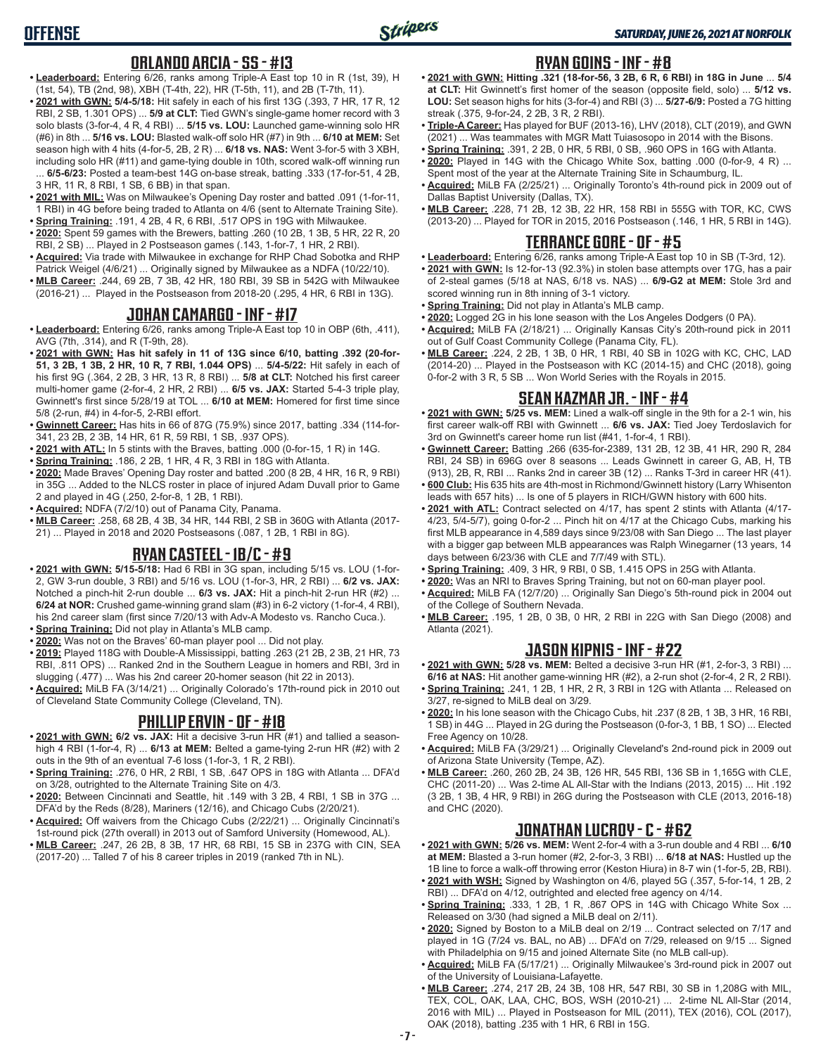### **ORLANDO ARCIA - SS - #13**

- **• Leaderboard:** Entering 6/26, ranks among Triple-A East top 10 in R (1st, 39), H (1st, 54), TB (2nd, 98), XBH (T-4th, 22), HR (T-5th, 11), and 2B (T-7th, 11).
- **• 2021 with GWN: 5/4-5/18:** Hit safely in each of his first 13G (.393, 7 HR, 17 R, 12 RBI, 2 SB, 1.301 OPS) ... **5/9 at CLT:** Tied GWN's single-game homer record with 3 solo blasts (3-for-4, 4 R, 4 RBI) ... **5/15 vs. LOU:** Launched game-winning solo HR (#6) in 8th ... **5/16 vs. LOU:** Blasted walk-off solo HR (#7) in 9th ... **6/10 at MEM:** Set season high with 4 hits (4-for-5, 2B, 2 R) ... **6/18 vs. NAS:** Went 3-for-5 with 3 XBH, including solo HR (#11) and game-tying double in 10th, scored walk-off winning run
- ... **6/5-6/23:** Posted a team-best 14G on-base streak, batting .333 (17-for-51, 4 2B, 3 HR, 11 R, 8 RBI, 1 SB, 6 BB) in that span.
- **• 2021 with MIL:** Was on Milwaukee's Opening Day roster and batted .091 (1-for-11, 1 RBI) in 4G before being traded to Atlanta on 4/6 (sent to Alternate Training Site). **• Spring Training:** .191, 4 2B, 4 R, 6 RBI, .517 OPS in 19G with Milwaukee.
- **• 2020:** Spent 59 games with the Brewers, batting .260 (10 2B, 1 3B, 5 HR, 22 R, 20 RBI, 2 SB) ... Played in 2 Postseason games (.143, 1-for-7, 1 HR, 2 RBI).
- **• Acquired:** Via trade with Milwaukee in exchange for RHP Chad Sobotka and RHP Patrick Weigel (4/6/21) ... Originally signed by Milwaukee as a NDFA (10/22/10).
- **• MLB Career:** .244, 69 2B, 7 3B, 42 HR, 180 RBI, 39 SB in 542G with Milwaukee (2016-21) ... Played in the Postseason from 2018-20 (.295, 4 HR, 6 RBI in 13G).

### **JOHAN CAMARGO - INF - #17**

- **• Leaderboard:** Entering 6/26, ranks among Triple-A East top 10 in OBP (6th, .411), AVG (7th, .314), and R (T-9th, 28).
- **• 2021 with GWN: Has hit safely in 11 of 13G since 6/10, batting .392 (20-for-51, 3 2B, 1 3B, 2 HR, 10 R, 7 RBI, 1.044 OPS)** ... **5/4-5/22:** Hit safely in each of his first 9G (.364, 2 2B, 3 HR, 13 R, 8 RBI) ... **5/8 at CLT:** Notched his first career multi-homer game (2-for-4, 2 HR, 2 RBI) ... **6/5 vs. JAX:** Started 5-4-3 triple play, Gwinnett's first since 5/28/19 at TOL ... **6/10 at MEM:** Homered for first time since 5/8 (2-run, #4) in 4-for-5, 2-RBI effort.
- **• Gwinnett Career:** Has hits in 66 of 87G (75.9%) since 2017, batting .334 (114-for-341, 23 2B, 2 3B, 14 HR, 61 R, 59 RBI, 1 SB, .937 OPS).
- **• 2021 with ATL:** In 5 stints with the Braves, batting .000 (0-for-15, 1 R) in 14G.
- **• Spring Training:** .186, 2 2B, 1 HR, 4 R, 3 RBI in 18G with Atlanta.
- **• 2020:** Made Braves' Opening Day roster and batted .200 (8 2B, 4 HR, 16 R, 9 RBI) in 35G ... Added to the NLCS roster in place of injured Adam Duvall prior to Game 2 and played in 4G (.250, 2-for-8, 1 2B, 1 RBI).
- **• Acquired:** NDFA (7/2/10) out of Panama City, Panama.
- **• MLB Career:** .258, 68 2B, 4 3B, 34 HR, 144 RBI, 2 SB in 360G with Atlanta (2017- 21) ... Played in 2018 and 2020 Postseasons (.087, 1 2B, 1 RBI in 8G).

### **RYAN CASTEEL - 1B/C - #9**

- **• 2021 with GWN: 5/15-5/18:** Had 6 RBI in 3G span, including 5/15 vs. LOU (1-for-2, GW 3-run double, 3 RBI) and 5/16 vs. LOU (1-for-3, HR, 2 RBI) ... **6/2 vs. JAX:** Notched a pinch-hit 2-run double ... **6/3 vs. JAX:** Hit a pinch-hit 2-run HR (#2) ... **6/24 at NOR:** Crushed game-winning grand slam (#3) in 6-2 victory (1-for-4, 4 RBI), his 2nd career slam (first since 7/20/13 with Adv-A Modesto vs. Rancho Cuca.).
- **• Spring Training:** Did not play in Atlanta's MLB camp.
- **• 2020:** Was not on the Braves' 60-man player pool ... Did not play. **• 2019:** Played 118G with Double-A Mississippi, batting .263 (21 2B, 2 3B, 21 HR, 73 RBI, .811 OPS) ... Ranked 2nd in the Southern League in homers and RBI, 3rd in slugging (.477) ... Was his 2nd career 20-homer season (hit 22 in 2013).
- **• Acquired:** MiLB FA (3/14/21) ... Originally Colorado's 17th-round pick in 2010 out of Cleveland State Community College (Cleveland, TN).

### **PHILLIP ERVIN - OF - #18**

- **• 2021 with GWN: 6/2 vs. JAX:** Hit a decisive 3-run HR (#1) and tallied a seasonhigh 4 RBI (1-for-4, R) ... **6/13 at MEM:** Belted a game-tying 2-run HR (#2) with 2 outs in the 9th of an eventual 7-6 loss (1-for-3, 1 R, 2 RBI).
- **• Spring Training:** .276, 0 HR, 2 RBI, 1 SB, .647 OPS in 18G with Atlanta ... DFA'd on 3/28, outrighted to the Alternate Training Site on 4/3.
- **• 2020:** Between Cincinnati and Seattle, hit .149 with 3 2B, 4 RBI, 1 SB in 37G ... DFA'd by the Reds (8/28), Mariners (12/16), and Chicago Cubs (2/20/21).
- **• Acquired:** Off waivers from the Chicago Cubs (2/22/21) ... Originally Cincinnati's 1st-round pick (27th overall) in 2013 out of Samford University (Homewood, AL).
- **• MLB Career:** .247, 26 2B, 8 3B, 17 HR, 68 RBI, 15 SB in 237G with CIN, SEA (2017-20) ... Talled 7 of his 8 career triples in 2019 (ranked 7th in NL).

#### **RYAN GOINS - INF - #8**

- **• 2021 with GWN: Hitting .321 (18-for-56, 3 2B, 6 R, 6 RBI) in 18G in June** ... **5/4 at CLT:** Hit Gwinnett's first homer of the season (opposite field, solo) ... **5/12 vs. LOU:** Set season highs for hits (3-for-4) and RBI (3) ... **5/27-6/9:** Posted a 7G hitting streak (.375, 9-for-24, 2 2B, 3 R, 2 RBI).
- **• Triple-A Career:** Has played for BUF (2013-16), LHV (2018), CLT (2019), and GWN (2021) ... Was teammates with MGR Matt Tuiasosopo in 2014 with the Bisons.
- **• Spring Training:** .391, 2 2B, 0 HR, 5 RBI, 0 SB, .960 OPS in 16G with Atlanta. **• 2020:** Played in 14G with the Chicago White Sox, batting .000 (0-for-9, 4 R) ... Spent most of the year at the Alternate Training Site in Schaumburg, IL.
- **• Acquired:** MiLB FA (2/25/21) ... Originally Toronto's 4th-round pick in 2009 out of Dallas Baptist University (Dallas, TX).
- **• MLB Career:** .228, 71 2B, 12 3B, 22 HR, 158 RBI in 555G with TOR, KC, CWS (2013-20) ... Played for TOR in 2015, 2016 Postseason (.146, 1 HR, 5 RBI in 14G).

#### **TERRANCE GORE - OF - #5**

- **• Leaderboard:** Entering 6/26, ranks among Triple-A East top 10 in SB (T-3rd, 12). **• 2021 with GWN:** Is 12-for-13 (92.3%) in stolen base attempts over 17G, has a pair of 2-steal games (5/18 at NAS, 6/18 vs. NAS) ... **6/9-G2 at MEM:** Stole 3rd and scored winning run in 8th inning of 3-1 victory.
- **• Spring Training:** Did not play in Atlanta's MLB camp.
- **• 2020:** Logged 2G in his lone season with the Los Angeles Dodgers (0 PA).
- **• Acquired:** MiLB FA (2/18/21) ... Originally Kansas City's 20th-round pick in 2011 out of Gulf Coast Community College (Panama City, FL).
- **• MLB Career:** .224, 2 2B, 1 3B, 0 HR, 1 RBI, 40 SB in 102G with KC, CHC, LAD (2014-20) ... Played in the Postseason with KC (2014-15) and CHC (2018), going 0-for-2 with 3 R, 5 SB ... Won World Series with the Royals in 2015.

### **SEAN KAZMAR JR. - INF - #4**

- **• 2021 with GWN: 5/25 vs. MEM:** Lined a walk-off single in the 9th for a 2-1 win, his first career walk-off RBI with Gwinnett ... **6/6 vs. JAX:** Tied Joey Terdoslavich for 3rd on Gwinnett's career home run list (#41, 1-for-4, 1 RBI).
- **• Gwinnett Career:** Batting .266 (635-for-2389, 131 2B, 12 3B, 41 HR, 290 R, 284 RBI, 24 SB) in 696G over 8 seasons ... Leads Gwinnett in career G, AB, H, TB (913), 2B, R, RBI ... Ranks 2nd in career 3B (12) ... Ranks T-3rd in career HR (41).
- **• 600 Club:** His 635 hits are 4th-most in Richmond/Gwinnett history (Larry Whisenton leads with 657 hits) ... Is one of 5 players in RICH/GWN history with 600 hits.
- **• 2021 with ATL:** Contract selected on 4/17, has spent 2 stints with Atlanta (4/17- 4/23, 5/4-5/7), going 0-for-2 ... Pinch hit on 4/17 at the Chicago Cubs, marking his first MLB appearance in 4,589 days since 9/23/08 with San Diego ... The last player with a bigger gap between MLB appearances was Ralph Winegarner (13 years, 14 days between 6/23/36 with CLE and 7/7/49 with STL).
- **• Spring Training:** .409, 3 HR, 9 RBI, 0 SB, 1.415 OPS in 25G with Atlanta.
- **• 2020:** Was an NRI to Braves Spring Training, but not on 60-man player pool.
- **• Acquired:** MiLB FA (12/7/20) ... Originally San Diego's 5th-round pick in 2004 out of the College of Southern Nevada.
- **• MLB Career:** .195, 1 2B, 0 3B, 0 HR, 2 RBI in 22G with San Diego (2008) and Atlanta (2021).

## **JASON KIPNIS - INF - #22**

- **• 2021 with GWN: 5/28 vs. MEM:** Belted a decisive 3-run HR (#1, 2-for-3, 3 RBI) ... **6/16 at NAS:** Hit another game-winning HR (#2), a 2-run shot (2-for-4, 2 R, 2 RBI).
- **• Spring Training:** .241, 1 2B, 1 HR, 2 R, 3 RBI in 12G with Atlanta ... Released on 3/27, re-signed to MiLB deal on 3/29.
- **• 2020:** In his lone season with the Chicago Cubs, hit .237 (8 2B, 1 3B, 3 HR, 16 RBI, 1 SB) in 44G ... Played in 2G during the Postseason (0-for-3, 1 BB, 1 SO) ... Elected Free Agency on 10/28.
- **• Acquired:** MiLB FA (3/29/21) ... Originally Cleveland's 2nd-round pick in 2009 out of Arizona State University (Tempe, AZ).
- **• MLB Career:** .260, 260 2B, 24 3B, 126 HR, 545 RBI, 136 SB in 1,165G with CLE, CHC (2011-20) ... Was 2-time AL All-Star with the Indians (2013, 2015) ... Hit .192 (3 2B, 1 3B, 4 HR, 9 RBI) in 26G during the Postseason with CLE (2013, 2016-18) and CHC (2020).

### **JONATHAN LUCROY - C - #62**

- **• 2021 with GWN: 5/26 vs. MEM:** Went 2-for-4 with a 3-run double and 4 RBI ... **6/10 at MEM:** Blasted a 3-run homer (#2, 2-for-3, 3 RBI) ... **6/18 at NAS:** Hustled up the 1B line to force a walk-off throwing error (Keston Hiura) in 8-7 win (1-for-5, 2B, RBI). **• 2021 with WSH:** Signed by Washington on 4/6, played 5G (.357, 5-for-14, 1 2B, 2
- RBI) ... DFA'd on 4/12, outrighted and elected free agency on 4/14.
- **• Spring Training:** .333, 1 2B, 1 R, .867 OPS in 14G with Chicago White Sox ... Released on 3/30 (had signed a MiLB deal on 2/11).
- **• 2020:** Signed by Boston to a MiLB deal on 2/19 ... Contract selected on 7/17 and played in 1G (7/24 vs. BAL, no AB) ... DFA'd on 7/29, released on 9/15 ... Signed with Philadelphia on 9/15 and joined Alternate Site (no MLB call-up).
- **• Acquired:** MiLB FA (5/17/21) ... Originally Milwaukee's 3rd-round pick in 2007 out of the University of Louisiana-Lafayette.
- **• MLB Career:** .274, 217 2B, 24 3B, 108 HR, 547 RBI, 30 SB in 1,208G with MIL, TEX, COL, OAK, LAA, CHC, BOS, WSH (2010-21) ... 2-time NL All-Star (2014, 2016 with MIL) ... Played in Postseason for MIL (2011), TEX (2016), COL (2017), OAK (2018), batting .235 with 1 HR, 6 RBI in 15G.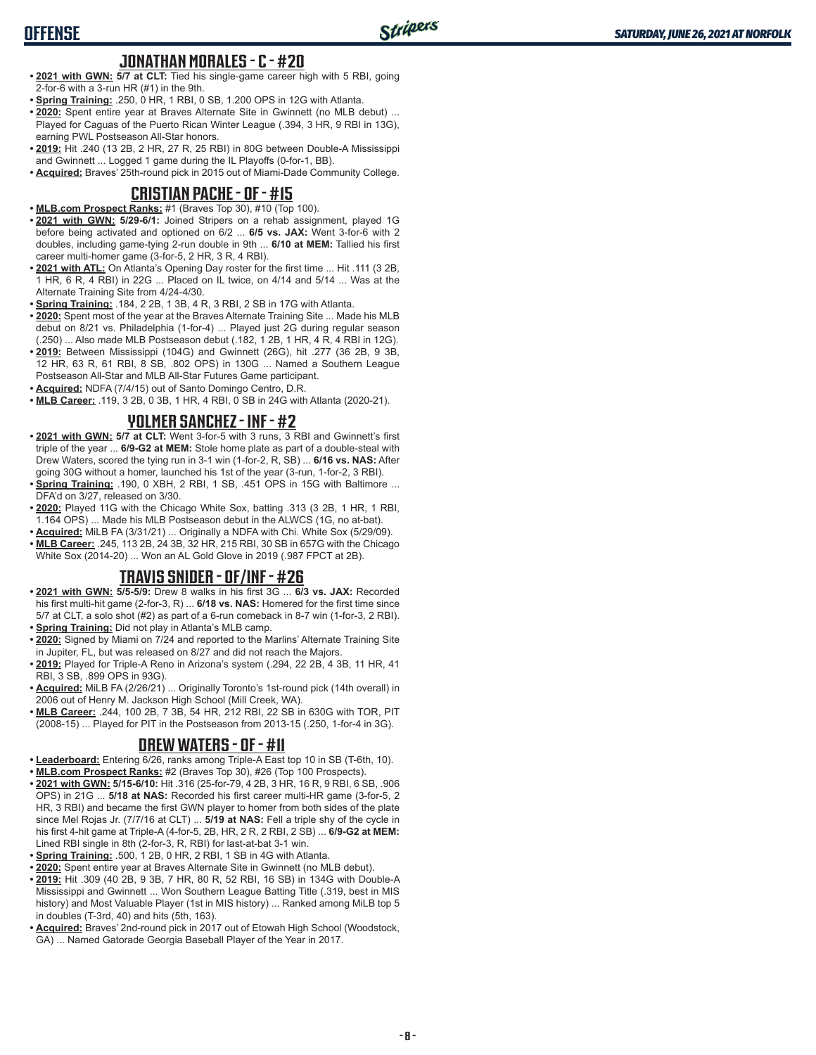### **JONATHAN MORALES - C - #20**

- **• 2021 with GWN: 5/7 at CLT:** Tied his single-game career high with 5 RBI, going 2-for-6 with a 3-run HR (#1) in the 9th.
- **• Spring Training:** .250, 0 HR, 1 RBI, 0 SB, 1.200 OPS in 12G with Atlanta.
- **• 2020:** Spent entire year at Braves Alternate Site in Gwinnett (no MLB debut) ... Played for Caguas of the Puerto Rican Winter League (.394, 3 HR, 9 RBI in 13G), earning PWL Postseason All-Star honors.
- **• 2019:** Hit .240 (13 2B, 2 HR, 27 R, 25 RBI) in 80G between Double-A Mississippi and Gwinnett ... Logged 1 game during the IL Playoffs (0-for-1, BB).
- **• Acquired:** Braves' 25th-round pick in 2015 out of Miami-Dade Community College.

#### **CRISTIAN PACHE - OF - #15**

**• MLB.com Prospect Ranks:** #1 (Braves Top 30), #10 (Top 100).

**OFFENSE**

- **• 2021 with GWN: 5/29-6/1:** Joined Stripers on a rehab assignment, played 1G before being activated and optioned on 6/2 ... **6/5 vs. JAX:** Went 3-for-6 with 2 doubles, including game-tying 2-run double in 9th ... **6/10 at MEM:** Tallied his first career multi-homer game (3-for-5, 2 HR, 3 R, 4 RBI).
- **• 2021 with ATL:** On Atlanta's Opening Day roster for the first time ... Hit .111 (3 2B, 1 HR, 6 R, 4 RBI) in 22G ... Placed on IL twice, on 4/14 and 5/14 ... Was at the Alternate Training Site from 4/24-4/30.
- **• Spring Training:** .184, 2 2B, 1 3B, 4 R, 3 RBI, 2 SB in 17G with Atlanta.
- **• 2020:** Spent most of the year at the Braves Alternate Training Site ... Made his MLB debut on 8/21 vs. Philadelphia (1-for-4) ... Played just 2G during regular season (.250) ... Also made MLB Postseason debut (.182, 1 2B, 1 HR, 4 R, 4 RBI in 12G).
- **• 2019:** Between Mississippi (104G) and Gwinnett (26G), hit .277 (36 2B, 9 3B, 12 HR, 63 R, 61 RBI, 8 SB, .802 OPS) in 130G ... Named a Southern League Postseason All-Star and MLB All-Star Futures Game participant.
- **• Acquired:** NDFA (7/4/15) out of Santo Domingo Centro, D.R.
- **• MLB Career:** .119, 3 2B, 0 3B, 1 HR, 4 RBI, 0 SB in 24G with Atlanta (2020-21).

#### **YOLMER SANCHEZ - INF - #2**

- **• 2021 with GWN: 5/7 at CLT:** Went 3-for-5 with 3 runs, 3 RBI and Gwinnett's first triple of the year ... **6/9-G2 at MEM:** Stole home plate as part of a double-steal with Drew Waters, scored the tying run in 3-1 win (1-for-2, R, SB) ... **6/16 vs. NAS:** After going 30G without a homer, launched his 1st of the year (3-run, 1-for-2, 3 RBI).
- **• Spring Training:** .190, 0 XBH, 2 RBI, 1 SB, .451 OPS in 15G with Baltimore ... DFA'd on 3/27, released on 3/30.
- **• 2020:** Played 11G with the Chicago White Sox, batting .313 (3 2B, 1 HR, 1 RBI, 1.164 OPS) ... Made his MLB Postseason debut in the ALWCS (1G, no at-bat).
- **• Acquired:** MiLB FA (3/31/21) ... Originally a NDFA with Chi. White Sox (5/29/09).
- **• MLB Career:** .245, 113 2B, 24 3B, 32 HR, 215 RBI, 30 SB in 657G with the Chicago White Sox (2014-20) ... Won an AL Gold Glove in 2019 (.987 FPCT at 2B).

## **TRAVIS SNIDER - OF/INF - #26**

- **• 2021 with GWN: 5/5-5/9:** Drew 8 walks in his first 3G ... **6/3 vs. JAX:** Recorded his first multi-hit game (2-for-3, R) ... **6/18 vs. NAS:** Homered for the first time since 5/7 at CLT, a solo shot (#2) as part of a 6-run comeback in 8-7 win (1-for-3, 2 RBI). **• Spring Training:** Did not play in Atlanta's MLB camp.
- **• 2020:** Signed by Miami on 7/24 and reported to the Marlins' Alternate Training Site in Jupiter, FL, but was released on 8/27 and did not reach the Majors.
- **• 2019:** Played for Triple-A Reno in Arizona's system (.294, 22 2B, 4 3B, 11 HR, 41 RBI, 3 SB, .899 OPS in 93G).
- **• Acquired:** MiLB FA (2/26/21) ... Originally Toronto's 1st-round pick (14th overall) in 2006 out of Henry M. Jackson High School (Mill Creek, WA).
- **• MLB Career:** .244, 100 2B, 7 3B, 54 HR, 212 RBI, 22 SB in 630G with TOR, PIT (2008-15) ... Played for PIT in the Postseason from 2013-15 (.250, 1-for-4 in 3G).

#### **DREW WATERS - OF - #11**

- **• Leaderboard:** Entering 6/26, ranks among Triple-A East top 10 in SB (T-6th, 10).
- **• MLB.com Prospect Ranks:** #2 (Braves Top 30), #26 (Top 100 Prospects).
- **• 2021 with GWN: 5/15-6/10:** Hit .316 (25-for-79, 4 2B, 3 HR, 16 R, 9 RBI, 6 SB, .906 OPS) in 21G ... **5/18 at NAS:** Recorded his first career multi-HR game (3-for-5, 2 HR, 3 RBI) and became the first GWN player to homer from both sides of the plate since Mel Rojas Jr. (7/7/16 at CLT) ... **5/19 at NAS:** Fell a triple shy of the cycle in his first 4-hit game at Triple-A (4-for-5, 2B, HR, 2 R, 2 RBI, 2 SB) ... **6/9-G2 at MEM:** Lined RBI single in 8th (2-for-3, R, RBI) for last-at-bat 3-1 win.
- **• Spring Training:** .500, 1 2B, 0 HR, 2 RBI, 1 SB in 4G with Atlanta.
- **• 2020:** Spent entire year at Braves Alternate Site in Gwinnett (no MLB debut).
- **• 2019:** Hit .309 (40 2B, 9 3B, 7 HR, 80 R, 52 RBI, 16 SB) in 134G with Double-A Mississippi and Gwinnett ... Won Southern League Batting Title (.319, best in MIS history) and Most Valuable Player (1st in MIS history) ... Ranked among MiLB top 5 in doubles (T-3rd, 40) and hits (5th, 163).
- **• Acquired:** Braves' 2nd-round pick in 2017 out of Etowah High School (Woodstock, GA) ... Named Gatorade Georgia Baseball Player of the Year in 2017.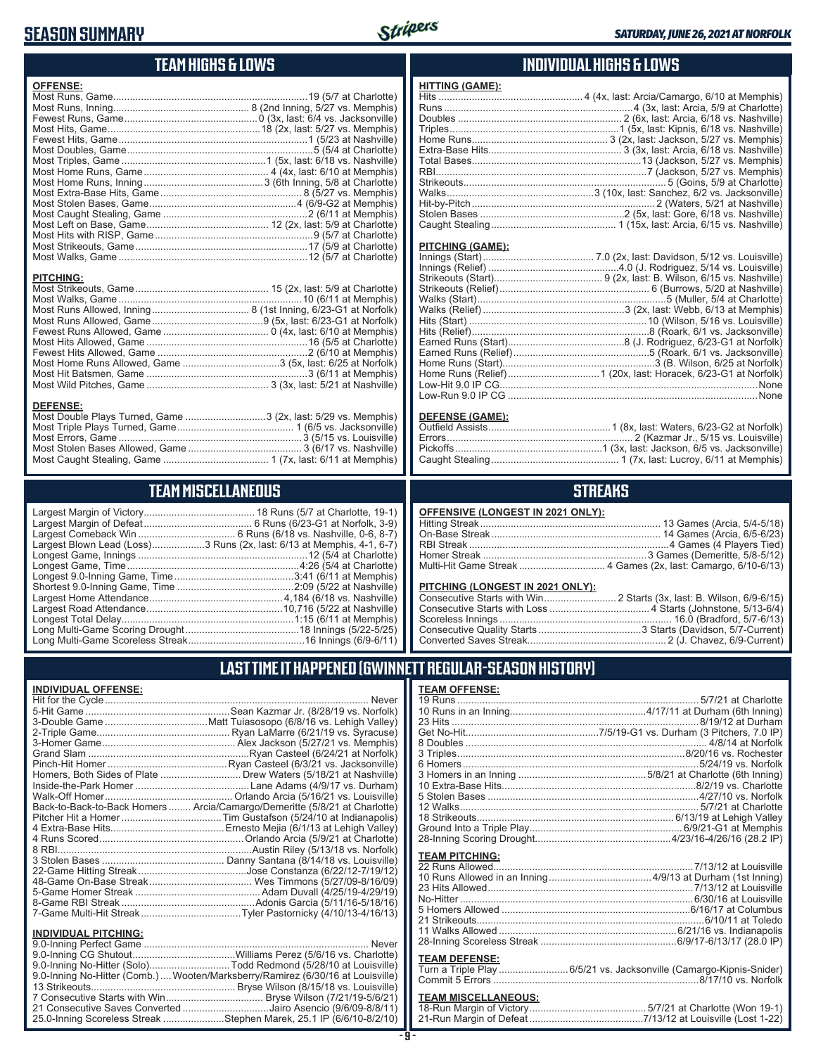## **SEASON SUMMARY**



**HITTING (GAME):**

### **TEAM HIGHS & LOWS**

| <b>OFFENSE:</b>                                            |  |
|------------------------------------------------------------|--|
|                                                            |  |
|                                                            |  |
|                                                            |  |
|                                                            |  |
|                                                            |  |
|                                                            |  |
|                                                            |  |
|                                                            |  |
|                                                            |  |
|                                                            |  |
|                                                            |  |
|                                                            |  |
|                                                            |  |
|                                                            |  |
|                                                            |  |
|                                                            |  |
| <b>PITCHING:</b>                                           |  |
|                                                            |  |
|                                                            |  |
|                                                            |  |
|                                                            |  |
|                                                            |  |
|                                                            |  |
|                                                            |  |
| Most Home Runs Allowed, Game 3 (5x, last: 6/25 at Norfolk) |  |
|                                                            |  |

Most Wild Pitches, Game ............................................ 3 (3x, last: 5/21 at Nashville)

Most Double Plays Turned, Game .............................3 (2x, last: 5/29 vs. Memphis) Most Triple Plays Turned, Game .......................................... 1 (6/5 vs. Jacksonville) Most Errors, Game ..................................................................3 (5/15 vs. Louisville) Most Stolen Bases Allowed, Game ......................................... 3 (6/17 vs. Nashville) Most Caught Stealing, Game ...................................... 1 (7x, last: 6/11 at Memphis)

**TEAM MISCELLANEOUS** Largest Margin of Victory........................................ 18 Runs (5/7 at Charlotte, 19-1) Largest Margin of Defeat ....................................... 6 Runs (6/23-G1 at Norfolk, 3-9) Largest Comeback Win ................................... 6 Runs (6/18 vs. Nashville, 0-6, 8-7) Largest Blown Lead (Loss)...................3 Runs (2x, last: 6/13 at Memphis, 4-1, 6-7) Longest Game, Innings .............................................................12 (5/4 at Charlotte) Longest Game, Time ..............................................................4:26 (5/4 at Charlotte) Longest 9.0-Inning Game, Time ...........................................3:41 (6/11 at Memphis) Shortest 9.0-Inning Game, Time ..........................................2:09 (5/22 at Nashville) Largest Home Attendance ................................................ 4,184 (6/18 vs. Nashville) Largest Road Attendance .................................................10,716 (5/22 at Nashville) Longest Total Delay..............................................................1:15 (6/11 at Memphis) Long Multi-Game Scoring Drought .........................................18 Innings (5/22-5/25) Long Multi-Game Scoreless Streak ..........................................16 Innings (6/9-6/11)

#### **INDIVIDUAL HIGHS & LOWS**

| PITCHING (GAME): |                                                      |
|------------------|------------------------------------------------------|
|                  |                                                      |
|                  |                                                      |
|                  |                                                      |
|                  |                                                      |
|                  |                                                      |
|                  |                                                      |
|                  |                                                      |
|                  |                                                      |
|                  |                                                      |
|                  |                                                      |
|                  |                                                      |
|                  |                                                      |
|                  |                                                      |
|                  |                                                      |
|                  | Low-Run 9.0 IP CG ………………………………………………………………………………None |

#### **DEFENSE (GAME):**

#### **STREAKS**

|  |  | OFFENSIVE (LONGEST IN 2021 ONLY): |
|--|--|-----------------------------------|
|--|--|-----------------------------------|

#### **PITCHING (LONGEST IN 2021 ONLY):**

| <u>THE MINE (2010201 IN 2021 ONE I A</u> |  |
|------------------------------------------|--|
|                                          |  |
|                                          |  |
|                                          |  |
|                                          |  |
|                                          |  |
|                                          |  |

### **LAST TIME IT HAPPENED (GWINNETT REGULAR-SEASON HISTORY)**

#### **INDIVIDUAL OFFENSE:**

**DEFENSE:**

|                             | Back-to-Back-to-Back Homers  Arcia/Camargo/Demeritte (5/8/21 at Charlotte) |
|-----------------------------|----------------------------------------------------------------------------|
|                             |                                                                            |
|                             |                                                                            |
|                             |                                                                            |
|                             |                                                                            |
|                             |                                                                            |
|                             |                                                                            |
|                             |                                                                            |
|                             |                                                                            |
|                             |                                                                            |
|                             |                                                                            |
|                             |                                                                            |
| <b>INDIVIDUAL PITCHING:</b> |                                                                            |
|                             |                                                                            |

| 9.0-Inning No-Hitter (Comb.) Wooten/Marksberry/Ramirez (6/30/16 at Louisville) |  |
|--------------------------------------------------------------------------------|--|
|                                                                                |  |
|                                                                                |  |
| 21 Consecutive Saves Converted Jairo Asencio (9/6/09-8/8/11)                   |  |
| 25.0-Inning Scoreless Streak Stephen Marek, 25.1 IP (6/6/10-8/2/10)            |  |
|                                                                                |  |

## **TEAM OFFENSE:**

| <b>TEAM PITCHING:</b> |  |
|-----------------------|--|
|                       |  |
|                       |  |
|                       |  |
|                       |  |
|                       |  |
|                       |  |
|                       |  |
|                       |  |
| <b>TEAM DEFENSE:</b>  |  |
|                       |  |

# Commit 5 Errors ..........................................................................8/17/10 vs. Norfolk

| <b>TEAM MISCELLANEOUS:</b> |  |
|----------------------------|--|
|                            |  |
|                            |  |